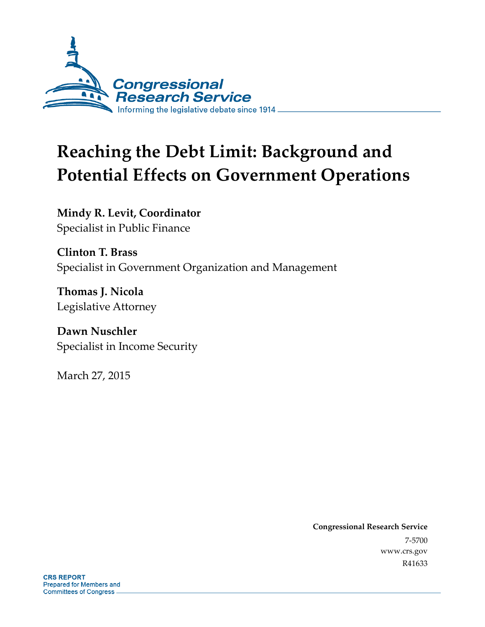

# **Reaching the Debt Limit: Background and Potential Effects on Government Operations**

**Mindy R. Levit, Coordinator**  Specialist in Public Finance

**Clinton T. Brass**  Specialist in Government Organization and Management

**Thomas J. Nicola**  Legislative Attorney

**Dawn Nuschler**  Specialist in Income Security

March 27, 2015

**Congressional Research Service**  7-5700 www.crs.gov R41633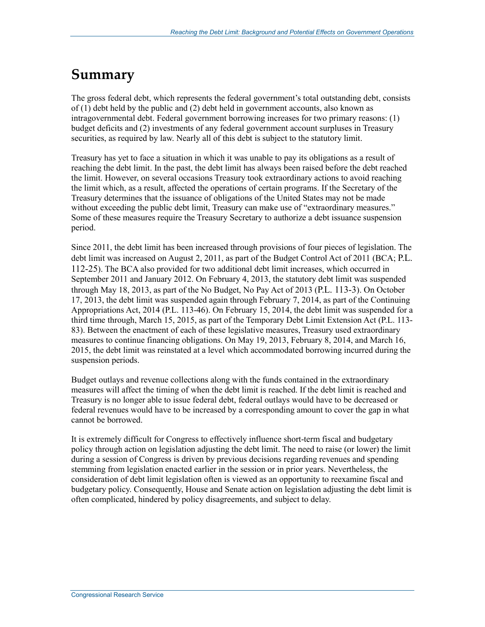## **Summary**

The gross federal debt, which represents the federal government's total outstanding debt, consists of (1) debt held by the public and (2) debt held in government accounts, also known as intragovernmental debt. Federal government borrowing increases for two primary reasons: (1) budget deficits and (2) investments of any federal government account surpluses in Treasury securities, as required by law. Nearly all of this debt is subject to the statutory limit.

Treasury has yet to face a situation in which it was unable to pay its obligations as a result of reaching the debt limit. In the past, the debt limit has always been raised before the debt reached the limit. However, on several occasions Treasury took extraordinary actions to avoid reaching the limit which, as a result, affected the operations of certain programs. If the Secretary of the Treasury determines that the issuance of obligations of the United States may not be made without exceeding the public debt limit, Treasury can make use of "extraordinary measures." Some of these measures require the Treasury Secretary to authorize a debt issuance suspension period.

Since 2011, the debt limit has been increased through provisions of four pieces of legislation. The debt limit was increased on August 2, 2011, as part of the Budget Control Act of 2011 (BCA; P.L. 112-25). The BCA also provided for two additional debt limit increases, which occurred in September 2011 and January 2012. On February 4, 2013, the statutory debt limit was suspended through May 18, 2013, as part of the No Budget, No Pay Act of 2013 (P.L. 113-3). On October 17, 2013, the debt limit was suspended again through February 7, 2014, as part of the Continuing Appropriations Act, 2014 (P.L. 113-46). On February 15, 2014, the debt limit was suspended for a third time through, March 15, 2015, as part of the Temporary Debt Limit Extension Act (P.L. 113- 83). Between the enactment of each of these legislative measures, Treasury used extraordinary measures to continue financing obligations. On May 19, 2013, February 8, 2014, and March 16, 2015, the debt limit was reinstated at a level which accommodated borrowing incurred during the suspension periods.

Budget outlays and revenue collections along with the funds contained in the extraordinary measures will affect the timing of when the debt limit is reached. If the debt limit is reached and Treasury is no longer able to issue federal debt, federal outlays would have to be decreased or federal revenues would have to be increased by a corresponding amount to cover the gap in what cannot be borrowed.

It is extremely difficult for Congress to effectively influence short-term fiscal and budgetary policy through action on legislation adjusting the debt limit. The need to raise (or lower) the limit during a session of Congress is driven by previous decisions regarding revenues and spending stemming from legislation enacted earlier in the session or in prior years. Nevertheless, the consideration of debt limit legislation often is viewed as an opportunity to reexamine fiscal and budgetary policy. Consequently, House and Senate action on legislation adjusting the debt limit is often complicated, hindered by policy disagreements, and subject to delay.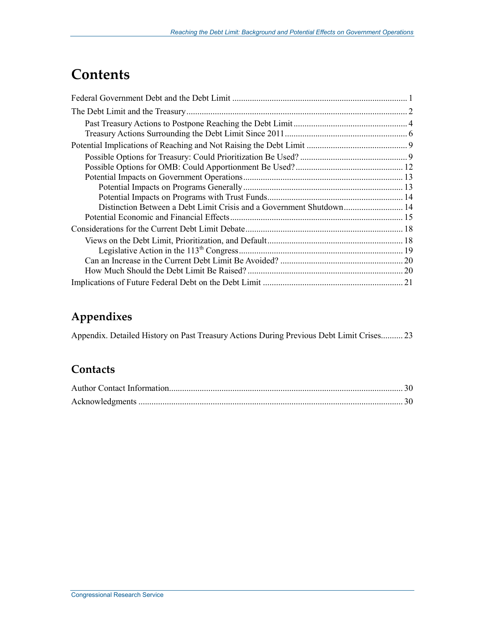## **Contents**

| Distinction Between a Debt Limit Crisis and a Government Shutdown 14 |  |
|----------------------------------------------------------------------|--|
|                                                                      |  |
|                                                                      |  |
|                                                                      |  |
|                                                                      |  |
|                                                                      |  |
|                                                                      |  |
|                                                                      |  |

## **Appendixes**

Appendix. Detailed History on Past Treasury Actions During Previous Debt Limit Crises.......... 23

## **Contacts**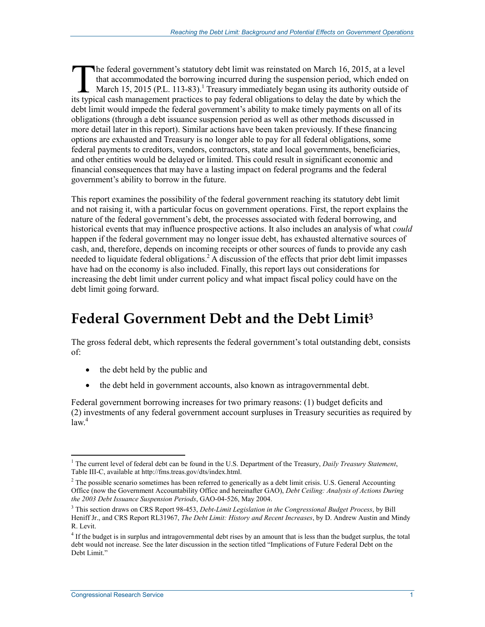he federal government's statutory debt limit was reinstated on March 16, 2015, at a level that accommodated the borrowing incurred during the suspension period, which ended on March 15, 2015 (P.L. 113-83).<sup>1</sup> Treasury immediately began using its authority outside of The federal government's statutory debt limit was reinstated on March 16, 2015, at a leve that accommodated the borrowing incurred during the suspension period, which ended c March 15, 2015 (P.L. 113-83).<sup>1</sup> Treasury immed debt limit would impede the federal government's ability to make timely payments on all of its obligations (through a debt issuance suspension period as well as other methods discussed in more detail later in this report). Similar actions have been taken previously. If these financing options are exhausted and Treasury is no longer able to pay for all federal obligations, some federal payments to creditors, vendors, contractors, state and local governments, beneficiaries, and other entities would be delayed or limited. This could result in significant economic and financial consequences that may have a lasting impact on federal programs and the federal government's ability to borrow in the future.

This report examines the possibility of the federal government reaching its statutory debt limit and not raising it, with a particular focus on government operations. First, the report explains the nature of the federal government's debt, the processes associated with federal borrowing, and historical events that may influence prospective actions. It also includes an analysis of what *could* happen if the federal government may no longer issue debt, has exhausted alternative sources of cash, and, therefore, depends on incoming receipts or other sources of funds to provide any cash needed to liquidate federal obligations.<sup>2</sup> A discussion of the effects that prior debt limit impasses have had on the economy is also included. Finally, this report lays out considerations for increasing the debt limit under current policy and what impact fiscal policy could have on the debt limit going forward.

## **Federal Government Debt and the Debt Limit3**

The gross federal debt, which represents the federal government's total outstanding debt, consists of:

- the debt held by the public and
- the debt held in government accounts, also known as intragovernmental debt.

Federal government borrowing increases for two primary reasons: (1) budget deficits and (2) investments of any federal government account surpluses in Treasury securities as required by  $law<sup>4</sup>$ 

<sup>&</sup>lt;u>.</u> 1 The current level of federal debt can be found in the U.S. Department of the Treasury, *Daily Treasury Statement*, Table III-C, available at http://fms.treas.gov/dts/index.html.

 $2<sup>2</sup>$  The possible scenario sometimes has been referred to generically as a debt limit crisis. U.S. General Accounting Office (now the Government Accountability Office and hereinafter GAO), *Debt Ceiling: Analysis of Actions During the 2003 Debt Issuance Suspension Periods*, GAO-04-526, May 2004.

<sup>3</sup> This section draws on CRS Report 98-453, *Debt-Limit Legislation in the Congressional Budget Process*, by Bill Heniff Jr., and CRS Report RL31967, *The Debt Limit: History and Recent Increases*, by D. Andrew Austin and Mindy R. Levit.

<sup>&</sup>lt;sup>4</sup> If the budget is in surplus and intragovernmental debt rises by an amount that is less than the budget surplus, the total debt would not increase. See the later discussion in the section titled "Implications of Future Federal Debt on the Debt Limit."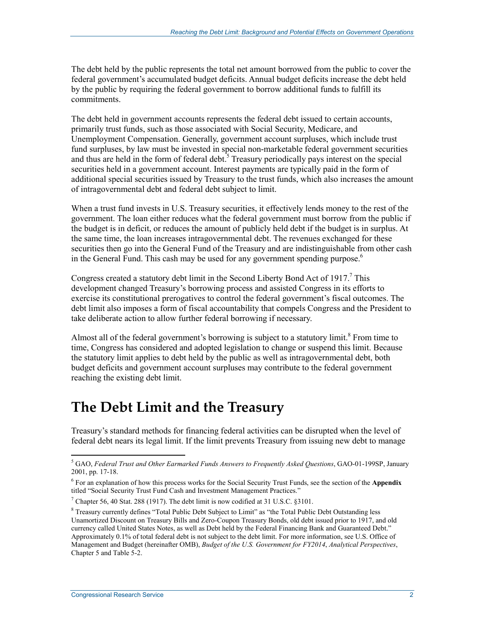The debt held by the public represents the total net amount borrowed from the public to cover the federal government's accumulated budget deficits. Annual budget deficits increase the debt held by the public by requiring the federal government to borrow additional funds to fulfill its commitments.

The debt held in government accounts represents the federal debt issued to certain accounts, primarily trust funds, such as those associated with Social Security, Medicare, and Unemployment Compensation. Generally, government account surpluses, which include trust fund surpluses, by law must be invested in special non-marketable federal government securities and thus are held in the form of federal debt.<sup>5</sup> Treasury periodically pays interest on the special securities held in a government account. Interest payments are typically paid in the form of additional special securities issued by Treasury to the trust funds, which also increases the amount of intragovernmental debt and federal debt subject to limit.

When a trust fund invests in U.S. Treasury securities, it effectively lends money to the rest of the government. The loan either reduces what the federal government must borrow from the public if the budget is in deficit, or reduces the amount of publicly held debt if the budget is in surplus. At the same time, the loan increases intragovernmental debt. The revenues exchanged for these securities then go into the General Fund of the Treasury and are indistinguishable from other cash in the General Fund. This cash may be used for any government spending purpose.<sup>6</sup>

Congress created a statutory debt limit in the Second Liberty Bond Act of 1917.<sup>7</sup> This development changed Treasury's borrowing process and assisted Congress in its efforts to exercise its constitutional prerogatives to control the federal government's fiscal outcomes. The debt limit also imposes a form of fiscal accountability that compels Congress and the President to take deliberate action to allow further federal borrowing if necessary.

Almost all of the federal government's borrowing is subject to a statutory limit.<sup>8</sup> From time to time, Congress has considered and adopted legislation to change or suspend this limit. Because the statutory limit applies to debt held by the public as well as intragovernmental debt, both budget deficits and government account surpluses may contribute to the federal government reaching the existing debt limit.

## **The Debt Limit and the Treasury**

Treasury's standard methods for financing federal activities can be disrupted when the level of federal debt nears its legal limit. If the limit prevents Treasury from issuing new debt to manage

<sup>&</sup>lt;u>.</u> 5 GAO, *Federal Trust and Other Earmarked Funds Answers to Frequently Asked Questions*, GAO-01-199SP, January 2001, pp. 17-18.

<sup>6</sup> For an explanation of how this process works for the Social Security Trust Funds, see the section of the **Appendix** titled "Social Security Trust Fund Cash and Investment Management Practices."

<sup>&</sup>lt;sup>7</sup> Chapter 56, 40 Stat. 288 (1917). The debt limit is now codified at 31 U.S.C. §3101.

<sup>&</sup>lt;sup>8</sup> Treasury currently defines "Total Public Debt Subject to Limit" as "the Total Public Debt Outstanding less Unamortized Discount on Treasury Bills and Zero-Coupon Treasury Bonds, old debt issued prior to 1917, and old currency called United States Notes, as well as Debt held by the Federal Financing Bank and Guaranteed Debt." Approximately 0.1% of total federal debt is not subject to the debt limit. For more information, see U.S. Office of Management and Budget (hereinafter OMB), *Budget of the U.S. Government for FY2014*, *Analytical Perspectives*, Chapter 5 and Table 5-2.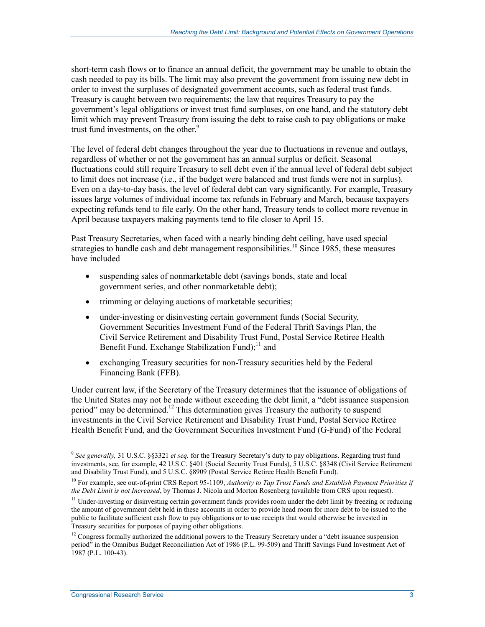short-term cash flows or to finance an annual deficit, the government may be unable to obtain the cash needed to pay its bills. The limit may also prevent the government from issuing new debt in order to invest the surpluses of designated government accounts, such as federal trust funds. Treasury is caught between two requirements: the law that requires Treasury to pay the government's legal obligations or invest trust fund surpluses, on one hand, and the statutory debt limit which may prevent Treasury from issuing the debt to raise cash to pay obligations or make trust fund investments, on the other.<sup>9</sup>

The level of federal debt changes throughout the year due to fluctuations in revenue and outlays, regardless of whether or not the government has an annual surplus or deficit. Seasonal fluctuations could still require Treasury to sell debt even if the annual level of federal debt subject to limit does not increase (i.e., if the budget were balanced and trust funds were not in surplus). Even on a day-to-day basis, the level of federal debt can vary significantly. For example, Treasury issues large volumes of individual income tax refunds in February and March, because taxpayers expecting refunds tend to file early. On the other hand, Treasury tends to collect more revenue in April because taxpayers making payments tend to file closer to April 15.

Past Treasury Secretaries, when faced with a nearly binding debt ceiling, have used special strategies to handle cash and debt management responsibilities.<sup>10</sup> Since 1985, these measures have included

- suspending sales of nonmarketable debt (savings bonds, state and local government series, and other nonmarketable debt);
- trimming or delaying auctions of marketable securities;
- under-investing or disinvesting certain government funds (Social Security, Government Securities Investment Fund of the Federal Thrift Savings Plan, the Civil Service Retirement and Disability Trust Fund, Postal Service Retiree Health Benefit Fund, Exchange Stabilization Fund);<sup>11</sup> and
- exchanging Treasury securities for non-Treasury securities held by the Federal Financing Bank (FFB).

Under current law, if the Secretary of the Treasury determines that the issuance of obligations of the United States may not be made without exceeding the debt limit, a "debt issuance suspension period" may be determined.<sup>12</sup> This determination gives Treasury the authority to suspend investments in the Civil Service Retirement and Disability Trust Fund, Postal Service Retiree Health Benefit Fund, and the Government Securities Investment Fund (G-Fund) of the Federal

<sup>9</sup> *See generally,* 31 U.S.C. §§3321 *et seq.* for the Treasury Secretary's duty to pay obligations. Regarding trust fund investments, see, for example, 42 U.S.C. §401 (Social Security Trust Funds), 5 U.S.C. §8348 (Civil Service Retirement and Disability Trust Fund), and 5 U.S.C. §8909 (Postal Service Retiree Health Benefit Fund).

<sup>10</sup> For example, see out-of-print CRS Report 95-1109, *Authority to Tap Trust Funds and Establish Payment Priorities if the Debt Limit is not Increased*, by Thomas J. Nicola and Morton Rosenberg (available from CRS upon request).

<sup>&</sup>lt;sup>11</sup> Under-investing or disinvesting certain government funds provides room under the debt limit by freezing or reducing the amount of government debt held in these accounts in order to provide head room for more debt to be issued to the public to facilitate sufficient cash flow to pay obligations or to use receipts that would otherwise be invested in Treasury securities for purposes of paying other obligations.

<sup>&</sup>lt;sup>12</sup> Congress formally authorized the additional powers to the Treasury Secretary under a "debt issuance suspension period" in the Omnibus Budget Reconciliation Act of 1986 (P.L. 99-509) and Thrift Savings Fund Investment Act of 1987 (P.L. 100-43).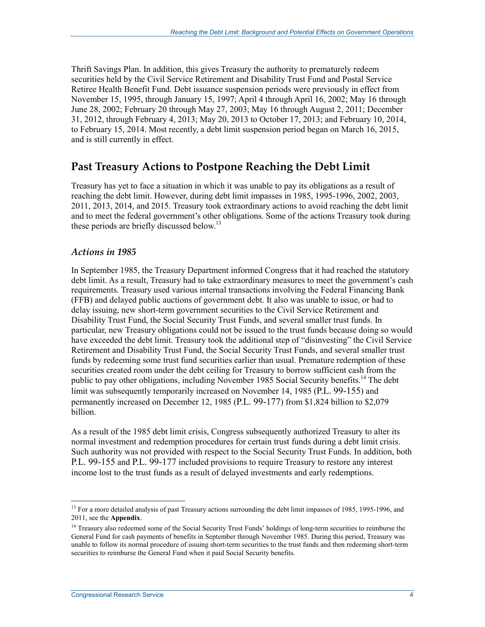Thrift Savings Plan. In addition, this gives Treasury the authority to prematurely redeem securities held by the Civil Service Retirement and Disability Trust Fund and Postal Service Retiree Health Benefit Fund. Debt issuance suspension periods were previously in effect from November 15, 1995, through January 15, 1997; April 4 through April 16, 2002; May 16 through June 28, 2002; February 20 through May 27, 2003; May 16 through August 2, 2011; December 31, 2012, through February 4, 2013; May 20, 2013 to October 17, 2013; and February 10, 2014, to February 15, 2014. Most recently, a debt limit suspension period began on March 16, 2015, and is still currently in effect.

## **Past Treasury Actions to Postpone Reaching the Debt Limit**

Treasury has yet to face a situation in which it was unable to pay its obligations as a result of reaching the debt limit. However, during debt limit impasses in 1985, 1995-1996, 2002, 2003, 2011, 2013, 2014, and 2015. Treasury took extraordinary actions to avoid reaching the debt limit and to meet the federal government's other obligations. Some of the actions Treasury took during these periods are briefly discussed below.<sup>13</sup>

#### *Actions in 1985*

In September 1985, the Treasury Department informed Congress that it had reached the statutory debt limit. As a result, Treasury had to take extraordinary measures to meet the government's cash requirements. Treasury used various internal transactions involving the Federal Financing Bank (FFB) and delayed public auctions of government debt. It also was unable to issue, or had to delay issuing, new short-term government securities to the Civil Service Retirement and Disability Trust Fund, the Social Security Trust Funds, and several smaller trust funds. In particular, new Treasury obligations could not be issued to the trust funds because doing so would have exceeded the debt limit. Treasury took the additional step of "disinvesting" the Civil Service Retirement and Disability Trust Fund, the Social Security Trust Funds, and several smaller trust funds by redeeming some trust fund securities earlier than usual. Premature redemption of these securities created room under the debt ceiling for Treasury to borrow sufficient cash from the public to pay other obligations, including November 1985 Social Security benefits.<sup>14</sup> The debt limit was subsequently temporarily increased on November 14, 1985 (P.L. 99-155) and permanently increased on December 12, 1985 (P.L. 99-177) from \$1,824 billion to \$2,079 billion.

As a result of the 1985 debt limit crisis, Congress subsequently authorized Treasury to alter its normal investment and redemption procedures for certain trust funds during a debt limit crisis. Such authority was not provided with respect to the Social Security Trust Funds. In addition, both P.L. 99-155 and P.L. 99-177 included provisions to require Treasury to restore any interest income lost to the trust funds as a result of delayed investments and early redemptions.

<sup>1</sup> <sup>13</sup> For a more detailed analysis of past Treasury actions surrounding the debt limit impasses of 1985, 1995-1996, and 2011, see the **Appendix**.

<sup>&</sup>lt;sup>14</sup> Treasury also redeemed some of the Social Security Trust Funds' holdings of long-term securities to reimburse the General Fund for cash payments of benefits in September through November 1985. During this period, Treasury was unable to follow its normal procedure of issuing short-term securities to the trust funds and then redeeming short-term securities to reimburse the General Fund when it paid Social Security benefits.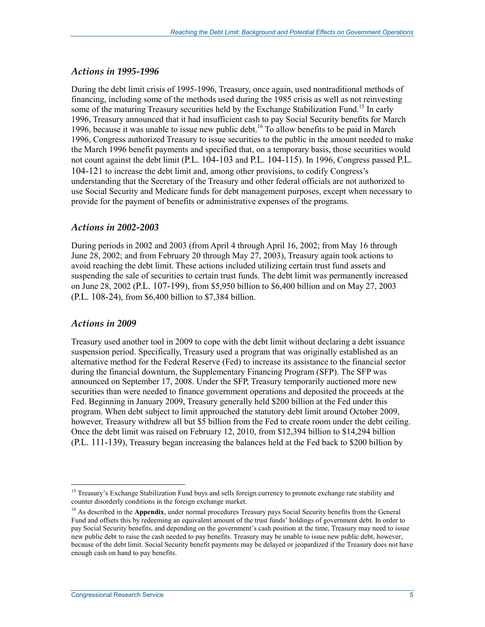#### *Actions in 1995-1996*

During the debt limit crisis of 1995-1996, Treasury, once again, used nontraditional methods of financing, including some of the methods used during the 1985 crisis as well as not reinvesting some of the maturing Treasury securities held by the Exchange Stabilization Fund.<sup>15</sup> In early 1996, Treasury announced that it had insufficient cash to pay Social Security benefits for March 1996, because it was unable to issue new public debt.<sup>16</sup> To allow benefits to be paid in March 1996, Congress authorized Treasury to issue securities to the public in the amount needed to make the March 1996 benefit payments and specified that, on a temporary basis, those securities would not count against the debt limit (P.L. 104-103 and P.L. 104-115). In 1996, Congress passed P.L. 104-121 to increase the debt limit and, among other provisions, to codify Congress's understanding that the Secretary of the Treasury and other federal officials are not authorized to use Social Security and Medicare funds for debt management purposes, except when necessary to provide for the payment of benefits or administrative expenses of the programs.

#### *Actions in 2002-2003*

During periods in 2002 and 2003 (from April 4 through April 16, 2002; from May 16 through June 28, 2002; and from February 20 through May 27, 2003), Treasury again took actions to avoid reaching the debt limit. These actions included utilizing certain trust fund assets and suspending the sale of securities to certain trust funds. The debt limit was permanently increased on June 28, 2002 (P.L. 107-199), from \$5,950 billion to \$6,400 billion and on May 27, 2003 (P.L. 108-24), from \$6,400 billion to \$7,384 billion.

#### *Actions in 2009*

1

Treasury used another tool in 2009 to cope with the debt limit without declaring a debt issuance suspension period. Specifically, Treasury used a program that was originally established as an alternative method for the Federal Reserve (Fed) to increase its assistance to the financial sector during the financial downturn, the Supplementary Financing Program (SFP). The SFP was announced on September 17, 2008. Under the SFP, Treasury temporarily auctioned more new securities than were needed to finance government operations and deposited the proceeds at the Fed. Beginning in January 2009, Treasury generally held \$200 billion at the Fed under this program. When debt subject to limit approached the statutory debt limit around October 2009, however, Treasury withdrew all but \$5 billion from the Fed to create room under the debt ceiling. Once the debt limit was raised on February 12, 2010, from \$12,394 billion to \$14,294 billion (P.L. 111-139), Treasury began increasing the balances held at the Fed back to \$200 billion by

<sup>&</sup>lt;sup>15</sup> Treasury's Exchange Stabilization Fund buys and sells foreign currency to promote exchange rate stability and counter disorderly conditions in the foreign exchange market.

<sup>&</sup>lt;sup>16</sup> As described in the **Appendix**, under normal procedures Treasury pays Social Security benefits from the General Fund and offsets this by redeeming an equivalent amount of the trust funds' holdings of government debt. In order to pay Social Security benefits, and depending on the government's cash position at the time, Treasury may need to issue new public debt to raise the cash needed to pay benefits. Treasury may be unable to issue new public debt, however, because of the debt limit. Social Security benefit payments may be delayed or jeopardized if the Treasury does not have enough cash on hand to pay benefits.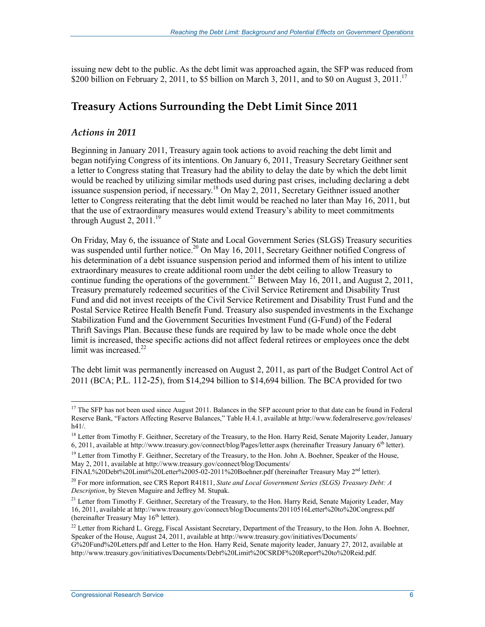issuing new debt to the public. As the debt limit was approached again, the SFP was reduced from \$200 billion on February 2, 2011, to \$5 billion on March 3, 2011, and to \$0 on August 3, 2011.<sup>17</sup>

### **Treasury Actions Surrounding the Debt Limit Since 2011**

#### *Actions in 2011*

Beginning in January 2011, Treasury again took actions to avoid reaching the debt limit and began notifying Congress of its intentions. On January 6, 2011, Treasury Secretary Geithner sent a letter to Congress stating that Treasury had the ability to delay the date by which the debt limit would be reached by utilizing similar methods used during past crises, including declaring a debt issuance suspension period, if necessary.<sup>18</sup> On May 2, 2011, Secretary Geithner issued another letter to Congress reiterating that the debt limit would be reached no later than May 16, 2011, but that the use of extraordinary measures would extend Treasury's ability to meet commitments through August 2,  $2011<sup>19</sup>$ 

On Friday, May 6, the issuance of State and Local Government Series (SLGS) Treasury securities was suspended until further notice.<sup>20</sup> On May 16, 2011, Secretary Geithner notified Congress of his determination of a debt issuance suspension period and informed them of his intent to utilize extraordinary measures to create additional room under the debt ceiling to allow Treasury to continue funding the operations of the government.<sup>21</sup> Between May 16, 2011, and August 2, 2011, Treasury prematurely redeemed securities of the Civil Service Retirement and Disability Trust Fund and did not invest receipts of the Civil Service Retirement and Disability Trust Fund and the Postal Service Retiree Health Benefit Fund. Treasury also suspended investments in the Exchange Stabilization Fund and the Government Securities Investment Fund (G-Fund) of the Federal Thrift Savings Plan. Because these funds are required by law to be made whole once the debt limit is increased, these specific actions did not affect federal retirees or employees once the debt limit was increased. $22$ 

The debt limit was permanently increased on August 2, 2011, as part of the Budget Control Act of 2011 (BCA; P.L. 112-25), from \$14,294 billion to \$14,694 billion. The BCA provided for two

<sup>&</sup>lt;sup>17</sup> The SFP has not been used since August 2011. Balances in the SFP account prior to that date can be found in Federal Reserve Bank, "Factors Affecting Reserve Balances," Table H.4.1, available at http://www.federalreserve.gov/releases/ h41/.

<sup>&</sup>lt;sup>18</sup> Letter from Timothy F. Geithner, Secretary of the Treasury, to the Hon. Harry Reid, Senate Majority Leader, January 6, 2011, available at http://www.treasury.gov/connect/blog/Pages/letter.aspx (hereinafter Treasury January 6<sup>th</sup> letter).

<sup>&</sup>lt;sup>19</sup> Letter from Timothy F. Geithner, Secretary of the Treasury, to the Hon. John A. Boehner, Speaker of the House, May 2, 2011, available at http://www.treasury.gov/connect/blog/Documents/

FINAL%20Debt%20Limit%20Letter%2005-02-2011%20Boehner.pdf (hereinafter Treasury May 2nd letter).

<sup>&</sup>lt;sup>20</sup> For more information, see CRS Report R41811, *State and Local Government Series (SLGS) Treasury Debt: A Description*, by Steven Maguire and Jeffrey M. Stupak.

<sup>&</sup>lt;sup>21</sup> Letter from Timothy F. Geithner, Secretary of the Treasury, to the Hon. Harry Reid, Senate Majority Leader, May 16, 2011, available at http://www.treasury.gov/connect/blog/Documents/20110516Letter%20to%20Congress.pdf (hereinafter Treasury May  $16<sup>th</sup>$  letter).

 $^{22}$  Letter from Richard L. Gregg, Fiscal Assistant Secretary, Department of the Treasury, to the Hon. John A. Boehner, Speaker of the House, August 24, 2011, available at http://www.treasury.gov/initiatives/Documents/ G%20Fund%20Letters.pdf and Letter to the Hon. Harry Reid, Senate majority leader, January 27, 2012, available at http://www.treasury.gov/initiatives/Documents/Debt%20Limit%20CSRDF%20Report%20to%20Reid.pdf.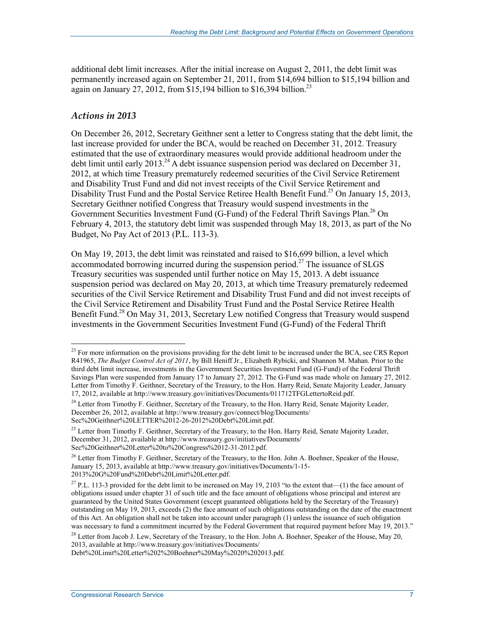additional debt limit increases. After the initial increase on August 2, 2011, the debt limit was permanently increased again on September 21, 2011, from \$14,694 billion to \$15,194 billion and again on January 27, 2012, from \$15,194 billion to \$16,394 billion.<sup>23</sup>

#### *Actions in 2013*

1

On December 26, 2012, Secretary Geithner sent a letter to Congress stating that the debt limit, the last increase provided for under the BCA, would be reached on December 31, 2012. Treasury estimated that the use of extraordinary measures would provide additional headroom under the debt limit until early 2013.<sup>24</sup> A debt issuance suspension period was declared on December 31, 2012, at which time Treasury prematurely redeemed securities of the Civil Service Retirement and Disability Trust Fund and did not invest receipts of the Civil Service Retirement and Disability Trust Fund and the Postal Service Retiree Health Benefit Fund.<sup>25</sup> On January 15, 2013, Secretary Geithner notified Congress that Treasury would suspend investments in the Government Securities Investment Fund (G-Fund) of the Federal Thrift Savings Plan.<sup>26</sup> On February 4, 2013, the statutory debt limit was suspended through May 18, 2013, as part of the No Budget, No Pay Act of 2013 (P.L. 113-3).

On May 19, 2013, the debt limit was reinstated and raised to \$16,699 billion, a level which accommodated borrowing incurred during the suspension period.<sup>27</sup> The issuance of SLGS Treasury securities was suspended until further notice on May 15, 2013. A debt issuance suspension period was declared on May 20, 2013, at which time Treasury prematurely redeemed securities of the Civil Service Retirement and Disability Trust Fund and did not invest receipts of the Civil Service Retirement and Disability Trust Fund and the Postal Service Retiree Health Benefit Fund.<sup>28</sup> On May 31, 2013, Secretary Lew notified Congress that Treasury would suspend investments in the Government Securities Investment Fund (G-Fund) of the Federal Thrift

<sup>&</sup>lt;sup>23</sup> For more information on the provisions providing for the debt limit to be increased under the BCA, see CRS Report R41965, *The Budget Control Act of 2011*, by Bill Heniff Jr., Elizabeth Rybicki, and Shannon M. Mahan. Prior to the third debt limit increase, investments in the Government Securities Investment Fund (G-Fund) of the Federal Thrift Savings Plan were suspended from January 17 to January 27, 2012. The G-Fund was made whole on January 27, 2012. Letter from Timothy F. Geithner, Secretary of the Treasury, to the Hon. Harry Reid, Senate Majority Leader, January 17, 2012, available at http://www.treasury.gov/initiatives/Documents/011712TFGLettertoReid.pdf.

<sup>&</sup>lt;sup>24</sup> Letter from Timothy F. Geithner, Secretary of the Treasury, to the Hon. Harry Reid, Senate Majority Leader, December 26, 2012, available at http://www.treasury.gov/connect/blog/Documents/ Sec%20Geithner%20LETTER%2012-26-2012%20Debt%20Limit.pdf.

<sup>&</sup>lt;sup>25</sup> Letter from Timothy F. Geithner, Secretary of the Treasury, to the Hon. Harry Reid, Senate Majority Leader, December 31, 2012, available at http://www.treasury.gov/initiatives/Documents/ Sec%20Geithner%20Letter%20to%20Congress%2012-31-2012.pdf.

<sup>&</sup>lt;sup>26</sup> Letter from Timothy F. Geithner, Secretary of the Treasury, to the Hon. John A. Boehner, Speaker of the House, January 15, 2013, available at http://www.treasury.gov/initiatives/Documents/1-15- 2013%20G%20Fund%20Debt%20Limit%20Letter.pdf.

<sup>&</sup>lt;sup>27</sup> P.L. 113-3 provided for the debt limit to be increased on May 19, 2103 "to the extent that—(1) the face amount of obligations issued under chapter 31 of such title and the face amount of obligations whose principal and interest are guaranteed by the United States Government (except guaranteed obligations held by the Secretary of the Treasury) outstanding on May 19, 2013, exceeds (2) the face amount of such obligations outstanding on the date of the enactment of this Act. An obligation shall not be taken into account under paragraph (1) unless the issuance of such obligation was necessary to fund a commitment incurred by the Federal Government that required payment before May 19, 2013."

<sup>&</sup>lt;sup>28</sup> Letter from Jacob J. Lew, Secretary of the Treasury, to the Hon. John A. Boehner, Speaker of the House, May 20, 2013, available at http://www.treasury.gov/initiatives/Documents/

Debt%20Limit%20Letter%202%20Boehner%20May%2020%202013.pdf.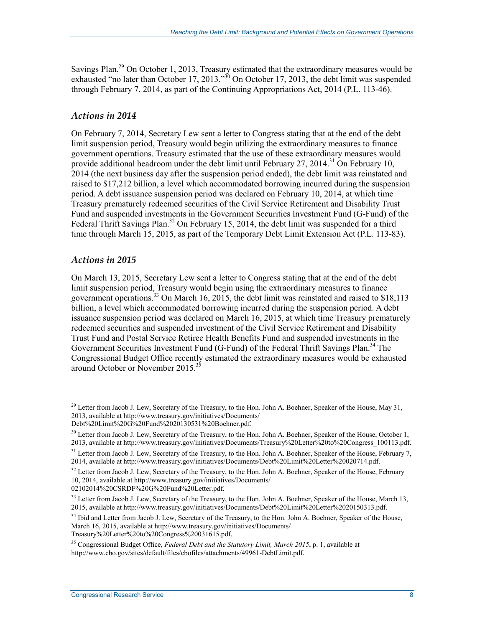Savings Plan.<sup>29</sup> On October 1, 2013, Treasury estimated that the extraordinary measures would be exhausted "no later than October 17, 2013."<sup>30</sup> On October 17, 2013, the debt limit was suspended through February 7, 2014, as part of the Continuing Appropriations Act, 2014 (P.L. 113-46).

#### *Actions in 2014*

On February 7, 2014, Secretary Lew sent a letter to Congress stating that at the end of the debt limit suspension period, Treasury would begin utilizing the extraordinary measures to finance government operations. Treasury estimated that the use of these extraordinary measures would provide additional headroom under the debt limit until February 27, 2014.<sup>31</sup> On February 10, 2014 (the next business day after the suspension period ended), the debt limit was reinstated and raised to \$17,212 billion, a level which accommodated borrowing incurred during the suspension period. A debt issuance suspension period was declared on February 10, 2014, at which time Treasury prematurely redeemed securities of the Civil Service Retirement and Disability Trust Fund and suspended investments in the Government Securities Investment Fund (G-Fund) of the Federal Thrift Savings Plan.<sup>32</sup> On February 15, 2014, the debt limit was suspended for a third time through March 15, 2015, as part of the Temporary Debt Limit Extension Act (P.L. 113-83).

#### *Actions in 2015*

1

On March 13, 2015, Secretary Lew sent a letter to Congress stating that at the end of the debt limit suspension period, Treasury would begin using the extraordinary measures to finance government operations.<sup>33</sup> On March 16, 2015, the debt limit was reinstated and raised to \$18,113 billion, a level which accommodated borrowing incurred during the suspension period. A debt issuance suspension period was declared on March 16, 2015, at which time Treasury prematurely redeemed securities and suspended investment of the Civil Service Retirement and Disability Trust Fund and Postal Service Retiree Health Benefits Fund and suspended investments in the Government Securities Investment Fund (G-Fund) of the Federal Thrift Savings Plan.<sup>34</sup> The Congressional Budget Office recently estimated the extraordinary measures would be exhausted around October or November 2015.<sup>35</sup>

02102014%20CSRDF%20G%20Fund%20Letter.pdf.

<sup>&</sup>lt;sup>29</sup> Letter from Jacob J. Lew, Secretary of the Treasury, to the Hon. John A. Boehner, Speaker of the House, May 31, 2013, available at http://www.treasury.gov/initiatives/Documents/

Debt%20Limit%20G%20Fund%2020130531%20Boehner.pdf.

<sup>&</sup>lt;sup>30</sup> Letter from Jacob J. Lew, Secretary of the Treasury, to the Hon. John A. Boehner, Speaker of the House, October 1, 2013, available at http://www.treasury.gov/initiatives/Documents/Treasury%20Letter%20to%20Congress\_100113.pdf.

<sup>&</sup>lt;sup>31</sup> Letter from Jacob J. Lew, Secretary of the Treasury, to the Hon. John A. Boehner, Speaker of the House, February 7, 2014, available at http://www.treasury.gov/initiatives/Documents/Debt%20Limit%20Letter%20020714.pdf.

 $32$  Letter from Jacob J. Lew, Secretary of the Treasury, to the Hon. John A. Boehner, Speaker of the House, February 10, 2014, available at http://www.treasury.gov/initiatives/Documents/

 $33$  Letter from Jacob J. Lew, Secretary of the Treasury, to the Hon. John A. Boehner, Speaker of the House, March 13, 2015, available at http://www.treasury.gov/initiatives/Documents/Debt%20Limit%20Letter%2020150313.pdf.

<sup>&</sup>lt;sup>34</sup> Ibid and Letter from Jacob J. Lew, Secretary of the Treasury, to the Hon. John A. Boehner, Speaker of the House, March 16, 2015, available at http://www.treasury.gov/initiatives/Documents/

Treasury%20Letter%20to%20Congress%20031615.pdf.

<sup>35</sup> Congressional Budget Office, *Federal Debt and the Statutory Limit, March 2015*, p. 1, available at http://www.cbo.gov/sites/default/files/cbofiles/attachments/49961-DebtLimit.pdf.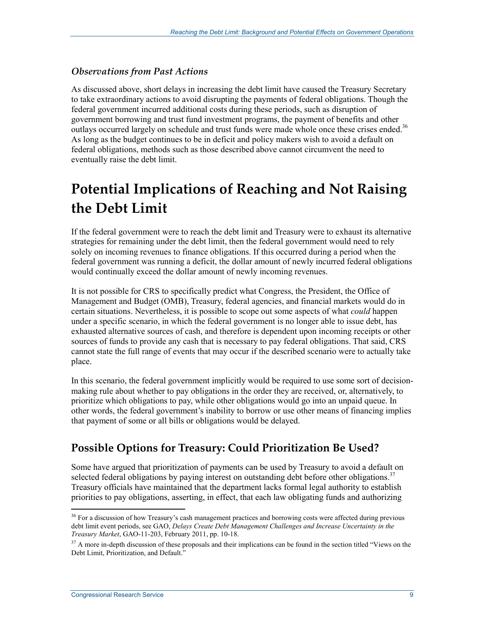#### *Observations from Past Actions*

As discussed above, short delays in increasing the debt limit have caused the Treasury Secretary to take extraordinary actions to avoid disrupting the payments of federal obligations. Though the federal government incurred additional costs during these periods, such as disruption of government borrowing and trust fund investment programs, the payment of benefits and other outlays occurred largely on schedule and trust funds were made whole once these crises ended.<sup>36</sup> As long as the budget continues to be in deficit and policy makers wish to avoid a default on federal obligations, methods such as those described above cannot circumvent the need to eventually raise the debt limit.

## **Potential Implications of Reaching and Not Raising the Debt Limit**

If the federal government were to reach the debt limit and Treasury were to exhaust its alternative strategies for remaining under the debt limit, then the federal government would need to rely solely on incoming revenues to finance obligations. If this occurred during a period when the federal government was running a deficit, the dollar amount of newly incurred federal obligations would continually exceed the dollar amount of newly incoming revenues.

It is not possible for CRS to specifically predict what Congress, the President, the Office of Management and Budget (OMB), Treasury, federal agencies, and financial markets would do in certain situations. Nevertheless, it is possible to scope out some aspects of what *could* happen under a specific scenario, in which the federal government is no longer able to issue debt, has exhausted alternative sources of cash, and therefore is dependent upon incoming receipts or other sources of funds to provide any cash that is necessary to pay federal obligations. That said, CRS cannot state the full range of events that may occur if the described scenario were to actually take place.

In this scenario, the federal government implicitly would be required to use some sort of decisionmaking rule about whether to pay obligations in the order they are received, or, alternatively, to prioritize which obligations to pay, while other obligations would go into an unpaid queue. In other words, the federal government's inability to borrow or use other means of financing implies that payment of some or all bills or obligations would be delayed.

## **Possible Options for Treasury: Could Prioritization Be Used?**

Some have argued that prioritization of payments can be used by Treasury to avoid a default on selected federal obligations by paying interest on outstanding debt before other obligations.<sup>37</sup> Treasury officials have maintained that the department lacks formal legal authority to establish priorities to pay obligations, asserting, in effect, that each law obligating funds and authorizing

<sup>&</sup>lt;sup>36</sup> For a discussion of how Treasury's cash management practices and borrowing costs were affected during previous debt limit event periods, see GAO, *Delays Create Debt Management Challenges and Increase Uncertainty in the Treasury Market*, GAO-11-203, February 2011, pp. 10-18.

 $37$  A more in-depth discussion of these proposals and their implications can be found in the section titled "Views on the Debt Limit, Prioritization, and Default."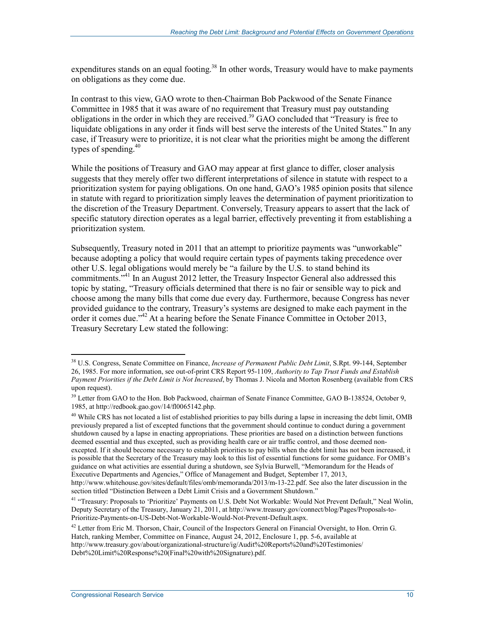expenditures stands on an equal footing.<sup>38</sup> In other words, Treasury would have to make payments on obligations as they come due.

In contrast to this view, GAO wrote to then-Chairman Bob Packwood of the Senate Finance Committee in 1985 that it was aware of no requirement that Treasury must pay outstanding obligations in the order in which they are received.<sup>39</sup> GAO concluded that "Treasury is free to liquidate obligations in any order it finds will best serve the interests of the United States." In any case, if Treasury were to prioritize, it is not clear what the priorities might be among the different types of spending. $40$ 

While the positions of Treasury and GAO may appear at first glance to differ, closer analysis suggests that they merely offer two different interpretations of silence in statute with respect to a prioritization system for paying obligations. On one hand, GAO's 1985 opinion posits that silence in statute with regard to prioritization simply leaves the determination of payment prioritization to the discretion of the Treasury Department. Conversely, Treasury appears to assert that the lack of specific statutory direction operates as a legal barrier, effectively preventing it from establishing a prioritization system.

Subsequently, Treasury noted in 2011 that an attempt to prioritize payments was "unworkable" because adopting a policy that would require certain types of payments taking precedence over other U.S. legal obligations would merely be "a failure by the U.S. to stand behind its commitments."41 In an August 2012 letter, the Treasury Inspector General also addressed this topic by stating, "Treasury officials determined that there is no fair or sensible way to pick and choose among the many bills that come due every day. Furthermore, because Congress has never provided guidance to the contrary, Treasury's systems are designed to make each payment in the order it comes due."<sup>42</sup> At a hearing before the Senate Finance Committee in October 2013, Treasury Secretary Lew stated the following:

<sup>40</sup> While CRS has not located a list of established priorities to pay bills during a lapse in increasing the debt limit, OMB previously prepared a list of excepted functions that the government should continue to conduct during a government shutdown caused by a lapse in enacting appropriations. These priorities are based on a distinction between functions deemed essential and thus excepted, such as providing health care or air traffic control, and those deemed nonexcepted. If it should become necessary to establish priorities to pay bills when the debt limit has not been increased, it is possible that the Secretary of the Treasury may look to this list of essential functions for some guidance. For OMB's guidance on what activities are essential during a shutdown, see Sylvia Burwell, "Memorandum for the Heads of Executive Departments and Agencies," Office of Management and Budget, September 17, 2013,

<sup>38</sup> U.S. Congress, Senate Committee on Finance, *Increase of Permanent Public Debt Limit*, S.Rpt. 99-144, September 26, 1985. For more information, see out-of-print CRS Report 95-1109, *Authority to Tap Trust Funds and Establish Payment Priorities if the Debt Limit is Not Increased*, by Thomas J. Nicola and Morton Rosenberg (available from CRS upon request).

<sup>&</sup>lt;sup>39</sup> Letter from GAO to the Hon. Bob Packwood, chairman of Senate Finance Committee, GAO B-138524, October 9, 1985, at http://redbook.gao.gov/14/fl0065142.php.

http://www.whitehouse.gov/sites/default/files/omb/memoranda/2013/m-13-22.pdf. See also the later discussion in the section titled "Distinction Between a Debt Limit Crisis and a Government Shutdown."

<sup>&</sup>lt;sup>41</sup> "Treasury: Proposals to 'Prioritize' Payments on U.S. Debt Not Workable: Would Not Prevent Default," Neal Wolin, Deputy Secretary of the Treasury, January 21, 2011, at http://www.treasury.gov/connect/blog/Pages/Proposals-to-Prioritize-Payments-on-US-Debt-Not-Workable-Would-Not-Prevent-Default.aspx.

 $^{42}$  Letter from Eric M. Thorson, Chair, Council of the Inspectors General on Financial Oversight, to Hon. Orrin G. Hatch, ranking Member, Committee on Finance, August 24, 2012, Enclosure 1, pp. 5-6, available at http://www.treasury.gov/about/organizational-structure/ig/Audit%20Reports%20and%20Testimonies/ Debt%20Limit%20Response%20(Final%20with%20Signature).pdf.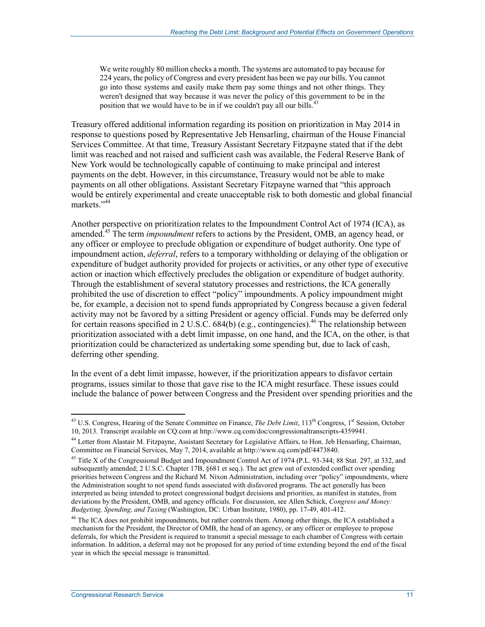We write roughly 80 million checks a month. The systems are automated to pay because for 224 years, the policy of Congress and every president has been we pay our bills. You cannot go into those systems and easily make them pay some things and not other things. They weren't designed that way because it was never the policy of this government to be in the position that we would have to be in if we couldn't pay all our bills.<sup>43</sup>

Treasury offered additional information regarding its position on prioritization in May 2014 in response to questions posed by Representative Jeb Hensarling, chairman of the House Financial Services Committee. At that time, Treasury Assistant Secretary Fitzpayne stated that if the debt limit was reached and not raised and sufficient cash was available, the Federal Reserve Bank of New York would be technologically capable of continuing to make principal and interest payments on the debt. However, in this circumstance, Treasury would not be able to make payments on all other obligations. Assistant Secretary Fitzpayne warned that "this approach would be entirely experimental and create unacceptable risk to both domestic and global financial markets."<sup>44</sup>

Another perspective on prioritization relates to the Impoundment Control Act of 1974 (ICA), as amended.45 The term *impoundment* refers to actions by the President, OMB, an agency head, or any officer or employee to preclude obligation or expenditure of budget authority. One type of impoundment action, *deferral*, refers to a temporary withholding or delaying of the obligation or expenditure of budget authority provided for projects or activities, or any other type of executive action or inaction which effectively precludes the obligation or expenditure of budget authority. Through the establishment of several statutory processes and restrictions, the ICA generally prohibited the use of discretion to effect "policy" impoundments. A policy impoundment might be, for example, a decision not to spend funds appropriated by Congress because a given federal activity may not be favored by a sitting President or agency official. Funds may be deferred only for certain reasons specified in 2 U.S.C.  $684(b)$  (e.g., contingencies).<sup>46</sup> The relationship between prioritization associated with a debt limit impasse, on one hand, and the ICA, on the other, is that prioritization could be characterized as undertaking some spending but, due to lack of cash, deferring other spending.

In the event of a debt limit impasse, however, if the prioritization appears to disfavor certain programs, issues similar to those that gave rise to the ICA might resurface. These issues could include the balance of power between Congress and the President over spending priorities and the

<sup>&</sup>lt;u>.</u>  $^{43}$  U.S. Congress, Hearing of the Senate Committee on Finance, *The Debt Limit*,  $113<sup>th</sup>$  Congress,  $1<sup>st</sup>$  Session, October 10, 2013. Transcript available on CQ.com at http://www.cq.com/doc/congressionaltranscripts-4359941.

<sup>&</sup>lt;sup>44</sup> Letter from Alastair M. Fitzpayne, Assistant Secretary for Legislative Affairs, to Hon. Jeb Hensarling, Chairman, Committee on Financial Services, May 7, 2014, available at http://www.cq.com/pdf/4473840.

<sup>&</sup>lt;sup>45</sup> Title X of the Congressional Budget and Impoundment Control Act of 1974 (P.L. 93-344; 88 Stat. 297, at 332, and subsequently amended; 2 U.S.C. Chapter 17B, §681 et seq.). The act grew out of extended conflict over spending priorities between Congress and the Richard M. Nixon Administration, including over "policy" impoundments, where the Administration sought to not spend funds associated with disfavored programs. The act generally has been interpreted as being intended to protect congressional budget decisions and priorities, as manifest in statutes, from deviations by the President, OMB, and agency officials. For discussion, see Allen Schick, *Congress and Money: Budgeting, Spending, and Taxing* (Washington, DC: Urban Institute, 1980), pp. 17-49, 401-412.

<sup>&</sup>lt;sup>46</sup> The ICA does not prohibit impoundments, but rather controls them. Among other things, the ICA established a mechanism for the President, the Director of OMB, the head of an agency, or any officer or employee to propose deferrals, for which the President is required to transmit a special message to each chamber of Congress with certain information. In addition, a deferral may not be proposed for any period of time extending beyond the end of the fiscal year in which the special message is transmitted.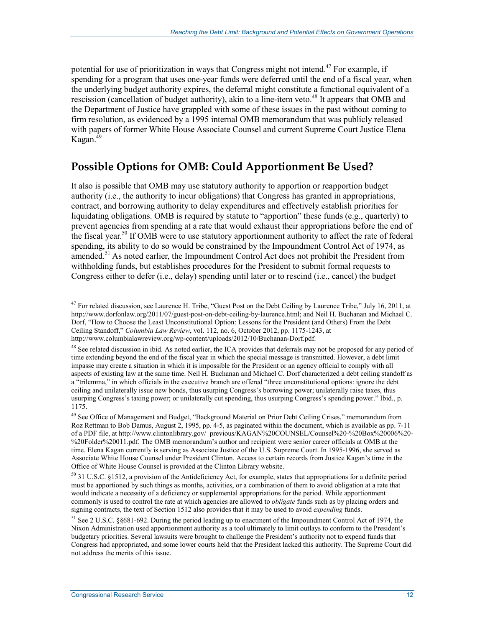potential for use of prioritization in ways that Congress might not intend.<sup>47</sup> For example, if spending for a program that uses one-year funds were deferred until the end of a fiscal year, when the underlying budget authority expires, the deferral might constitute a functional equivalent of a rescission (cancellation of budget authority), akin to a line-item veto.<sup>48</sup> It appears that OMB and the Department of Justice have grappled with some of these issues in the past without coming to firm resolution, as evidenced by a 1995 internal OMB memorandum that was publicly released with papers of former White House Associate Counsel and current Supreme Court Justice Elena Kagan. $49$ 

## **Possible Options for OMB: Could Apportionment Be Used?**

It also is possible that OMB may use statutory authority to apportion or reapportion budget authority (i.e., the authority to incur obligations) that Congress has granted in appropriations, contract, and borrowing authority to delay expenditures and effectively establish priorities for liquidating obligations. OMB is required by statute to "apportion" these funds (e.g., quarterly) to prevent agencies from spending at a rate that would exhaust their appropriations before the end of the fiscal year.<sup>50</sup> If OMB were to use statutory apportionment authority to affect the rate of federal spending, its ability to do so would be constrained by the Impoundment Control Act of 1974, as amended.<sup>51</sup> As noted earlier, the Impoundment Control Act does not prohibit the President from withholding funds, but establishes procedures for the President to submit formal requests to Congress either to defer (i.e., delay) spending until later or to rescind (i.e., cancel) the budget

 $^{47}$  For related discussion, see Laurence H. Tribe, "Guest Post on the Debt Ceiling by Laurence Tribe," July 16, 2011, at http://www.dorfonlaw.org/2011/07/guest-post-on-debt-ceiling-by-laurence.html; and Neil H. Buchanan and Michael C. Dorf, "How to Choose the Least Unconstitutional Option: Lessons for the President (and Others) From the Debt Ceiling Standoff," *Columbia Law Review*, vol. 112, no. 6, October 2012, pp. 1175-1243, at http://www.columbialawreview.org/wp-content/uploads/2012/10/Buchanan-Dorf.pdf.

 $48$  See related discussion in ibid. As noted earlier, the ICA provides that deferrals may not be proposed for any period of time extending beyond the end of the fiscal year in which the special message is transmitted. However, a debt limit impasse may create a situation in which it is impossible for the President or an agency official to comply with all aspects of existing law at the same time. Neil H. Buchanan and Michael C. Dorf characterized a debt ceiling standoff as a "trilemma," in which officials in the executive branch are offered "three unconstitutional options: ignore the debt ceiling and unilaterally issue new bonds, thus usurping Congress's borrowing power; unilaterally raise taxes, thus usurping Congress's taxing power; or unilaterally cut spending, thus usurping Congress's spending power." Ibid., p. 1175.

<sup>&</sup>lt;sup>49</sup> See Office of Management and Budget, "Background Material on Prior Debt Ceiling Crises," memorandum from Roz Rettman to Bob Damus, August 2, 1995, pp. 4-5, as paginated within the document, which is available as pp. 7-11 of a PDF file, at http://www.clintonlibrary.gov/\_previous/KAGAN%20COUNSEL/Counsel%20-%20Box%20006%20- %20Folder%20011.pdf. The OMB memorandum's author and recipient were senior career officials at OMB at the time. Elena Kagan currently is serving as Associate Justice of the U.S. Supreme Court. In 1995-1996, she served as Associate White House Counsel under President Clinton. Access to certain records from Justice Kagan's time in the Office of White House Counsel is provided at the Clinton Library website.

<sup>50 31</sup> U.S.C. §1512, a provision of the Antideficiency Act, for example, states that appropriations for a definite period must be apportioned by such things as months, activities, or a combination of them to avoid obligation at a rate that would indicate a necessity of a deficiency or supplemental appropriations for the period. While apportionment commonly is used to control the rate at which agencies are allowed to *obligate* funds such as by placing orders and signing contracts, the text of Section 1512 also provides that it may be used to avoid *expending* funds.

<sup>&</sup>lt;sup>51</sup> See 2 U.S.C. §§681-692. During the period leading up to enactment of the Impoundment Control Act of 1974, the Nixon Administration used apportionment authority as a tool ultimately to limit outlays to conform to the President's budgetary priorities. Several lawsuits were brought to challenge the President's authority not to expend funds that Congress had appropriated, and some lower courts held that the President lacked this authority. The Supreme Court did not address the merits of this issue.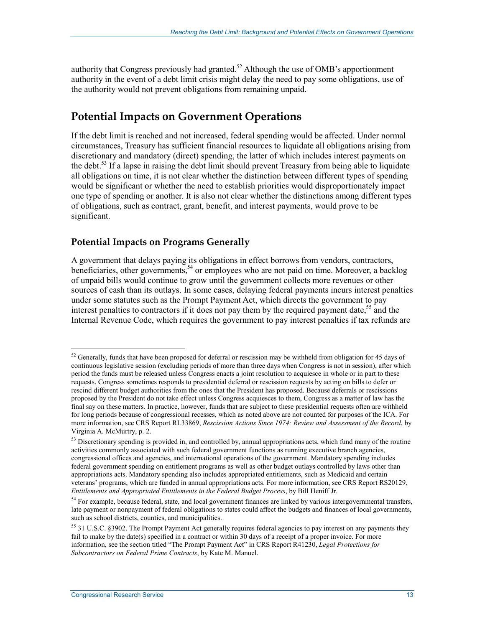authority that Congress previously had granted.<sup>52</sup> Although the use of OMB's apportionment authority in the event of a debt limit crisis might delay the need to pay some obligations, use of the authority would not prevent obligations from remaining unpaid.

## **Potential Impacts on Government Operations**

If the debt limit is reached and not increased, federal spending would be affected. Under normal circumstances, Treasury has sufficient financial resources to liquidate all obligations arising from discretionary and mandatory (direct) spending, the latter of which includes interest payments on the debt.<sup>53</sup> If a lapse in raising the debt limit should prevent Treasury from being able to liquidate all obligations on time, it is not clear whether the distinction between different types of spending would be significant or whether the need to establish priorities would disproportionately impact one type of spending or another. It is also not clear whether the distinctions among different types of obligations, such as contract, grant, benefit, and interest payments, would prove to be significant.

#### **Potential Impacts on Programs Generally**

A government that delays paying its obligations in effect borrows from vendors, contractors, beneficiaries, other governments,<sup>54</sup> or employees who are not paid on time. Moreover, a backlog of unpaid bills would continue to grow until the government collects more revenues or other sources of cash than its outlays. In some cases, delaying federal payments incurs interest penalties under some statutes such as the Prompt Payment Act, which directs the government to pay interest penalties to contractors if it does not pay them by the required payment date,  $55$  and the Internal Revenue Code, which requires the government to pay interest penalties if tax refunds are

 $52$  Generally, funds that have been proposed for deferral or rescission may be withheld from obligation for 45 days of continuous legislative session (excluding periods of more than three days when Congress is not in session), after which period the funds must be released unless Congress enacts a joint resolution to acquiesce in whole or in part to these requests. Congress sometimes responds to presidential deferral or rescission requests by acting on bills to defer or rescind different budget authorities from the ones that the President has proposed. Because deferrals or rescissions proposed by the President do not take effect unless Congress acquiesces to them, Congress as a matter of law has the final say on these matters. In practice, however, funds that are subject to these presidential requests often are withheld for long periods because of congressional recesses, which as noted above are not counted for purposes of the ICA. For more information, see CRS Report RL33869, *Rescission Actions Since 1974: Review and Assessment of the Record*, by Virginia A. McMurtry, p. 2.

<sup>&</sup>lt;sup>53</sup> Discretionary spending is provided in, and controlled by, annual appropriations acts, which fund many of the routine activities commonly associated with such federal government functions as running executive branch agencies, congressional offices and agencies, and international operations of the government. Mandatory spending includes federal government spending on entitlement programs as well as other budget outlays controlled by laws other than appropriations acts. Mandatory spending also includes appropriated entitlements, such as Medicaid and certain veterans' programs, which are funded in annual appropriations acts. For more information, see CRS Report RS20129, *Entitlements and Appropriated Entitlements in the Federal Budget Process*, by Bill Heniff Jr.

<sup>&</sup>lt;sup>54</sup> For example, because federal, state, and local government finances are linked by various intergovernmental transfers, late payment or nonpayment of federal obligations to states could affect the budgets and finances of local governments, such as school districts, counties, and municipalities.

<sup>&</sup>lt;sup>55</sup> 31 U.S.C. §3902. The Prompt Payment Act generally requires federal agencies to pay interest on any payments they fail to make by the date(s) specified in a contract or within 30 days of a receipt of a proper invoice. For more information, see the section titled "The Prompt Payment Act" in CRS Report R41230, *Legal Protections for Subcontractors on Federal Prime Contracts*, by Kate M. Manuel.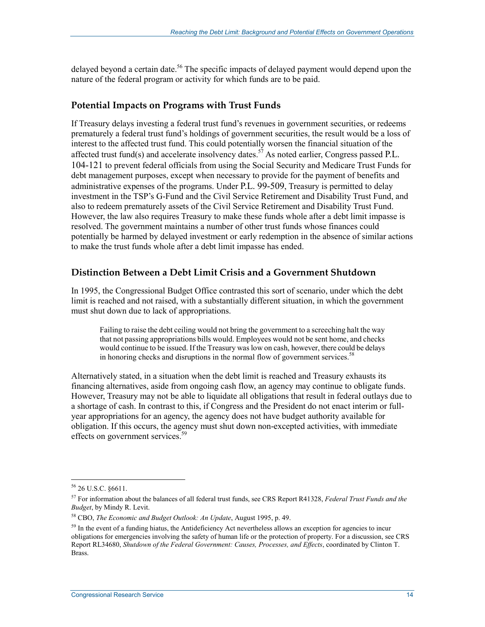delayed beyond a certain date.<sup>56</sup> The specific impacts of delayed payment would depend upon the nature of the federal program or activity for which funds are to be paid.

#### **Potential Impacts on Programs with Trust Funds**

If Treasury delays investing a federal trust fund's revenues in government securities, or redeems prematurely a federal trust fund's holdings of government securities, the result would be a loss of interest to the affected trust fund. This could potentially worsen the financial situation of the affected trust fund(s) and accelerate insolvency dates.<sup>57</sup> As noted earlier, Congress passed P.L. 104-121 to prevent federal officials from using the Social Security and Medicare Trust Funds for debt management purposes, except when necessary to provide for the payment of benefits and administrative expenses of the programs. Under P.L. 99-509, Treasury is permitted to delay investment in the TSP's G-Fund and the Civil Service Retirement and Disability Trust Fund, and also to redeem prematurely assets of the Civil Service Retirement and Disability Trust Fund. However, the law also requires Treasury to make these funds whole after a debt limit impasse is resolved. The government maintains a number of other trust funds whose finances could potentially be harmed by delayed investment or early redemption in the absence of similar actions to make the trust funds whole after a debt limit impasse has ended.

#### **Distinction Between a Debt Limit Crisis and a Government Shutdown**

In 1995, the Congressional Budget Office contrasted this sort of scenario, under which the debt limit is reached and not raised, with a substantially different situation, in which the government must shut down due to lack of appropriations.

Failing to raise the debt ceiling would not bring the government to a screeching halt the way that not passing appropriations bills would. Employees would not be sent home, and checks would continue to be issued. If the Treasury was low on cash, however, there could be delays in honoring checks and disruptions in the normal flow of government services.<sup>58</sup>

Alternatively stated, in a situation when the debt limit is reached and Treasury exhausts its financing alternatives, aside from ongoing cash flow, an agency may continue to obligate funds. However, Treasury may not be able to liquidate all obligations that result in federal outlays due to a shortage of cash. In contrast to this, if Congress and the President do not enact interim or fullyear appropriations for an agency, the agency does not have budget authority available for obligation. If this occurs, the agency must shut down non-excepted activities, with immediate effects on government services.<sup>59</sup>

<sup>56 26</sup> U.S.C. §6611.

<sup>57</sup> For information about the balances of all federal trust funds, see CRS Report R41328, *Federal Trust Funds and the Budget*, by Mindy R. Levit.

<sup>58</sup> CBO, *The Economic and Budget Outlook: An Update*, August 1995, p. 49.

<sup>&</sup>lt;sup>59</sup> In the event of a funding hiatus, the Antideficiency Act nevertheless allows an exception for agencies to incur obligations for emergencies involving the safety of human life or the protection of property. For a discussion, see CRS Report RL34680, *Shutdown of the Federal Government: Causes, Processes, and Effects*, coordinated by Clinton T. Brass.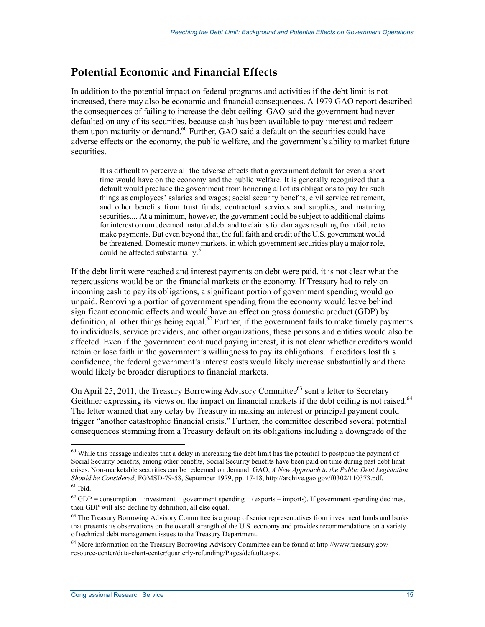### **Potential Economic and Financial Effects**

In addition to the potential impact on federal programs and activities if the debt limit is not increased, there may also be economic and financial consequences. A 1979 GAO report described the consequences of failing to increase the debt ceiling. GAO said the government had never defaulted on any of its securities, because cash has been available to pay interest and redeem them upon maturity or demand.<sup>60</sup> Further, GAO said a default on the securities could have adverse effects on the economy, the public welfare, and the government's ability to market future securities.

It is difficult to perceive all the adverse effects that a government default for even a short time would have on the economy and the public welfare. It is generally recognized that a default would preclude the government from honoring all of its obligations to pay for such things as employees' salaries and wages; social security benefits, civil service retirement, and other benefits from trust funds; contractual services and supplies, and maturing securities.... At a minimum, however, the government could be subject to additional claims for interest on unredeemed matured debt and to claims for damages resulting from failure to make payments. But even beyond that, the full faith and credit of the U.S. government would be threatened. Domestic money markets, in which government securities play a major role, could be affected substantially.<sup>61</sup>

If the debt limit were reached and interest payments on debt were paid, it is not clear what the repercussions would be on the financial markets or the economy. If Treasury had to rely on incoming cash to pay its obligations, a significant portion of government spending would go unpaid. Removing a portion of government spending from the economy would leave behind significant economic effects and would have an effect on gross domestic product (GDP) by definition, all other things being equal.<sup>62</sup> Further, if the government fails to make timely payments to individuals, service providers, and other organizations, these persons and entities would also be affected. Even if the government continued paying interest, it is not clear whether creditors would retain or lose faith in the government's willingness to pay its obligations. If creditors lost this confidence, the federal government's interest costs would likely increase substantially and there would likely be broader disruptions to financial markets.

On April 25, 2011, the Treasury Borrowing Advisory Committee<sup>63</sup> sent a letter to Secretary Geithner expressing its views on the impact on financial markets if the debt ceiling is not raised.<sup>64</sup> The letter warned that any delay by Treasury in making an interest or principal payment could trigger "another catastrophic financial crisis." Further, the committee described several potential consequences stemming from a Treasury default on its obligations including a downgrade of the

 $60$  While this passage indicates that a delay in increasing the debt limit has the potential to postpone the payment of Social Security benefits, among other benefits, Social Security benefits have been paid on time during past debt limit crises. Non-marketable securities can be redeemed on demand. GAO, *A New Approach to the Public Debt Legislation Should be Considered*, FGMSD-79-58, September 1979, pp. 17-18, http://archive.gao.gov/f0302/110373.pdf.  $61$  Ibid.

 $62$  GDP = consumption + investment + government spending + (exports – imports). If government spending declines, then GDP will also decline by definition, all else equal.

<sup>&</sup>lt;sup>63</sup> The Treasury Borrowing Advisory Committee is a group of senior representatives from investment funds and banks that presents its observations on the overall strength of the U.S. economy and provides recommendations on a variety of technical debt management issues to the Treasury Department.

<sup>64</sup> More information on the Treasury Borrowing Advisory Committee can be found at http://www.treasury.gov/ resource-center/data-chart-center/quarterly-refunding/Pages/default.aspx.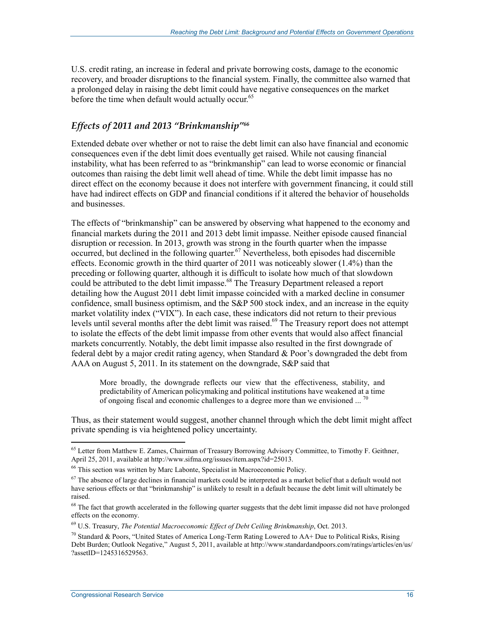U.S. credit rating, an increase in federal and private borrowing costs, damage to the economic recovery, and broader disruptions to the financial system. Finally, the committee also warned that a prolonged delay in raising the debt limit could have negative consequences on the market before the time when default would actually occur.<sup>65</sup>

#### *Effects of 2011 and 2013 "Brinkmanship"66*

Extended debate over whether or not to raise the debt limit can also have financial and economic consequences even if the debt limit does eventually get raised. While not causing financial instability, what has been referred to as "brinkmanship" can lead to worse economic or financial outcomes than raising the debt limit well ahead of time. While the debt limit impasse has no direct effect on the economy because it does not interfere with government financing, it could still have had indirect effects on GDP and financial conditions if it altered the behavior of households and businesses.

The effects of "brinkmanship" can be answered by observing what happened to the economy and financial markets during the 2011 and 2013 debt limit impasse. Neither episode caused financial disruption or recession. In 2013, growth was strong in the fourth quarter when the impasse occurred, but declined in the following quarter.<sup>67</sup> Nevertheless, both episodes had discernible effects. Economic growth in the third quarter of 2011 was noticeably slower (1.4%) than the preceding or following quarter, although it is difficult to isolate how much of that slowdown could be attributed to the debt limit impasse.<sup>68</sup> The Treasury Department released a report detailing how the August 2011 debt limit impasse coincided with a marked decline in consumer confidence, small business optimism, and the S&P 500 stock index, and an increase in the equity market volatility index ("VIX"). In each case, these indicators did not return to their previous levels until several months after the debt limit was raised.<sup>69</sup> The Treasury report does not attempt to isolate the effects of the debt limit impasse from other events that would also affect financial markets concurrently. Notably, the debt limit impasse also resulted in the first downgrade of federal debt by a major credit rating agency, when Standard & Poor's downgraded the debt from AAA on August 5, 2011. In its statement on the downgrade, S&P said that

More broadly, the downgrade reflects our view that the effectiveness, stability, and predictability of American policymaking and political institutions have weakened at a time of ongoing fiscal and economic challenges to a degree more than we envisioned  $\ldots$ <sup>7</sup>

Thus, as their statement would suggest, another channel through which the debt limit might affect private spending is via heightened policy uncertainty.

<sup>&</sup>lt;sup>65</sup> Letter from Matthew E. Zames, Chairman of Treasury Borrowing Advisory Committee, to Timothy F. Geithner, April 25, 2011, available at http://www.sifma.org/issues/item.aspx?id=25013.

<sup>66</sup> This section was written by Marc Labonte, Specialist in Macroeconomic Policy.

 $67$  The absence of large declines in financial markets could be interpreted as a market belief that a default would not have serious effects or that "brinkmanship" is unlikely to result in a default because the debt limit will ultimately be raised.

<sup>&</sup>lt;sup>68</sup> The fact that growth accelerated in the following quarter suggests that the debt limit impasse did not have prolonged effects on the economy.

<sup>69</sup> U.S. Treasury, *The Potential Macroeconomic Effect of Debt Ceiling Brinkmanship*, Oct. 2013.

 $^{70}$  Standard & Poors, "United States of America Long-Term Rating Lowered to AA+ Due to Political Risks, Rising Debt Burden; Outlook Negative," August 5, 2011, available at http://www.standardandpoors.com/ratings/articles/en/us/ ?assetID=1245316529563.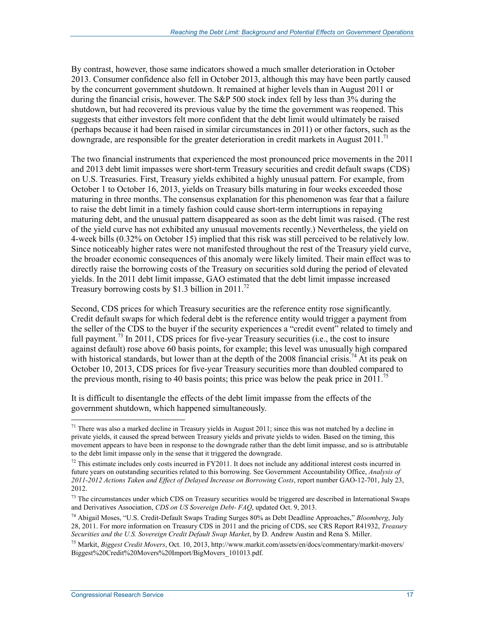By contrast, however, those same indicators showed a much smaller deterioration in October 2013. Consumer confidence also fell in October 2013, although this may have been partly caused by the concurrent government shutdown. It remained at higher levels than in August 2011 or during the financial crisis, however. The S&P 500 stock index fell by less than 3% during the shutdown, but had recovered its previous value by the time the government was reopened. This suggests that either investors felt more confident that the debt limit would ultimately be raised (perhaps because it had been raised in similar circumstances in 2011) or other factors, such as the downgrade, are responsible for the greater deterioration in credit markets in August 2011.<sup>71</sup>

The two financial instruments that experienced the most pronounced price movements in the 2011 and 2013 debt limit impasses were short-term Treasury securities and credit default swaps (CDS) on U.S. Treasuries. First, Treasury yields exhibited a highly unusual pattern. For example, from October 1 to October 16, 2013, yields on Treasury bills maturing in four weeks exceeded those maturing in three months. The consensus explanation for this phenomenon was fear that a failure to raise the debt limit in a timely fashion could cause short-term interruptions in repaying maturing debt, and the unusual pattern disappeared as soon as the debt limit was raised. (The rest of the yield curve has not exhibited any unusual movements recently.) Nevertheless, the yield on 4-week bills (0.32% on October 15) implied that this risk was still perceived to be relatively low. Since noticeably higher rates were not manifested throughout the rest of the Treasury yield curve, the broader economic consequences of this anomaly were likely limited. Their main effect was to directly raise the borrowing costs of the Treasury on securities sold during the period of elevated yields. In the 2011 debt limit impasse, GAO estimated that the debt limit impasse increased Treasury borrowing costs by \$1.3 billion in 2011.<sup>72</sup>

Second, CDS prices for which Treasury securities are the reference entity rose significantly. Credit default swaps for which federal debt is the reference entity would trigger a payment from the seller of the CDS to the buyer if the security experiences a "credit event" related to timely and full payment.<sup>73</sup> In 2011, CDS prices for five-year Treasury securities (i.e., the cost to insure against default) rose above 60 basis points, for example; this level was unusually high compared with historical standards, but lower than at the depth of the 2008 financial crisis.<sup>74</sup> At its peak on October 10, 2013, CDS prices for five-year Treasury securities more than doubled compared to the previous month, rising to 40 basis points; this price was below the peak price in 2011.<sup>75</sup>

It is difficult to disentangle the effects of the debt limit impasse from the effects of the government shutdown, which happened simultaneously.

 $71$  There was also a marked decline in Treasury yields in August 2011; since this was not matched by a decline in private yields, it caused the spread between Treasury yields and private yields to widen. Based on the timing, this movement appears to have been in response to the downgrade rather than the debt limit impasse, and so is attributable to the debt limit impasse only in the sense that it triggered the downgrade.

 $^{72}$  This estimate includes only costs incurred in FY2011. It does not include any additional interest costs incurred in future years on outstanding securities related to this borrowing. See Government Accountability Office, *Analysis of 2011-2012 Actions Taken and Effect of Delayed Increase on Borrowing Costs*, report number GAO-12-701, July 23, 2012.

 $73$  The circumstances under which CDS on Treasury securities would be triggered are described in International Swaps and Derivatives Association, *CDS on US Sovereign Debt- FAQ*, updated Oct. 9, 2013.

<sup>74</sup> Abigail Moses, "U.S. Credit-Default Swaps Trading Surges 80% as Debt Deadline Approaches," *Bloomberg*, July 28, 2011. For more information on Treasury CDS in 2011 and the pricing of CDS, see CRS Report R41932, *Treasury Securities and the U.S. Sovereign Credit Default Swap Market*, by D. Andrew Austin and Rena S. Miller.

<sup>75</sup> Markit, *Biggest Credit Movers*, Oct. 10, 2013, http://www.markit.com/assets/en/docs/commentary/markit-movers/ Biggest%20Credit%20Movers%20Import/BigMovers\_101013.pdf.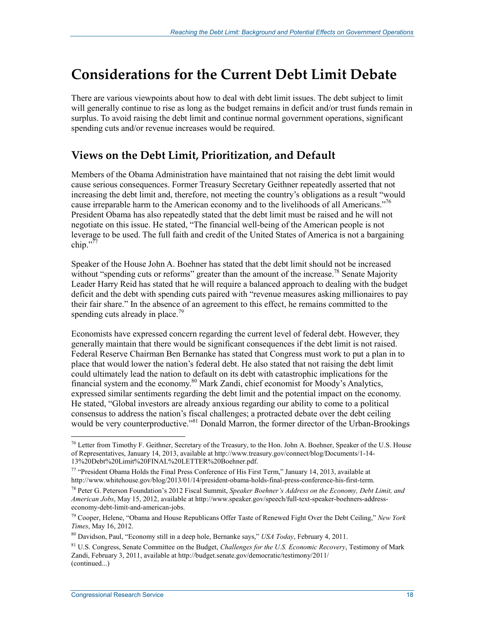## **Considerations for the Current Debt Limit Debate**

There are various viewpoints about how to deal with debt limit issues. The debt subject to limit will generally continue to rise as long as the budget remains in deficit and/or trust funds remain in surplus. To avoid raising the debt limit and continue normal government operations, significant spending cuts and/or revenue increases would be required.

### **Views on the Debt Limit, Prioritization, and Default**

Members of the Obama Administration have maintained that not raising the debt limit would cause serious consequences. Former Treasury Secretary Geithner repeatedly asserted that not increasing the debt limit and, therefore, not meeting the country's obligations as a result "would cause irreparable harm to the American economy and to the livelihoods of all Americans."<sup>76</sup> President Obama has also repeatedly stated that the debt limit must be raised and he will not negotiate on this issue. He stated, "The financial well-being of the American people is not leverage to be used. The full faith and credit of the United States of America is not a bargaining chip." $77$ 

Speaker of the House John A. Boehner has stated that the debt limit should not be increased without "spending cuts or reforms" greater than the amount of the increase.<sup>78</sup> Senate Majority Leader Harry Reid has stated that he will require a balanced approach to dealing with the budget deficit and the debt with spending cuts paired with "revenue measures asking millionaires to pay their fair share." In the absence of an agreement to this effect, he remains committed to the spending cuts already in place.<sup>79</sup>

Economists have expressed concern regarding the current level of federal debt. However, they generally maintain that there would be significant consequences if the debt limit is not raised. Federal Reserve Chairman Ben Bernanke has stated that Congress must work to put a plan in to place that would lower the nation's federal debt. He also stated that not raising the debt limit could ultimately lead the nation to default on its debt with catastrophic implications for the financial system and the economy.<sup>80</sup> Mark Zandi, chief economist for Moody's Analytics, expressed similar sentiments regarding the debt limit and the potential impact on the economy. He stated, "Global investors are already anxious regarding our ability to come to a political consensus to address the nation's fiscal challenges; a protracted debate over the debt ceiling would be very counterproductive."<sup>81</sup> Donald Marron, the former director of the Urban-Brookings

<u>.</u>

 $^{76}$  Letter from Timothy F. Geithner, Secretary of the Treasury, to the Hon. John A. Boehner, Speaker of the U.S. House of Representatives, January 14, 2013, available at http://www.treasury.gov/connect/blog/Documents/1-14- 13%20Debt%20Limit%20FINAL%20LETTER%20Boehner.pdf.

<sup>77 &</sup>quot;President Obama Holds the Final Press Conference of His First Term," January 14, 2013, available at http://www.whitehouse.gov/blog/2013/01/14/president-obama-holds-final-press-conference-his-first-term.

<sup>78</sup> Peter G. Peterson Foundation's 2012 Fiscal Summit, *Speaker Boehner's Address on the Economy, Debt Limit, and American Jobs*, May 15, 2012, available at http://www.speaker.gov/speech/full-text-speaker-boehners-addresseconomy-debt-limit-and-american-jobs.

<sup>79</sup> Cooper, Helene, "Obama and House Republicans Offer Taste of Renewed Fight Over the Debt Ceiling," *New York Times*, May 16, 2012.

<sup>80</sup> Davidson, Paul, "Economy still in a deep hole, Bernanke says," *USA Today*, February 4, 2011.

<sup>81</sup> U.S. Congress, Senate Committee on the Budget, *Challenges for the U.S. Economic Recovery*, Testimony of Mark Zandi, February 3, 2011, available at http://budget.senate.gov/democratic/testimony/2011/ (continued...)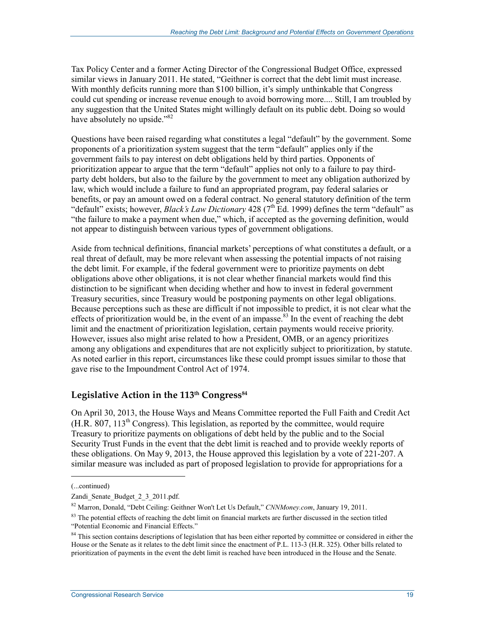Tax Policy Center and a former Acting Director of the Congressional Budget Office, expressed similar views in January 2011. He stated, "Geithner is correct that the debt limit must increase. With monthly deficits running more than \$100 billion, it's simply unthinkable that Congress could cut spending or increase revenue enough to avoid borrowing more.... Still, I am troubled by any suggestion that the United States might willingly default on its public debt. Doing so would have absolutely no upside."<sup>82</sup>

Questions have been raised regarding what constitutes a legal "default" by the government. Some proponents of a prioritization system suggest that the term "default" applies only if the government fails to pay interest on debt obligations held by third parties. Opponents of prioritization appear to argue that the term "default" applies not only to a failure to pay thirdparty debt holders, but also to the failure by the government to meet any obligation authorized by law, which would include a failure to fund an appropriated program, pay federal salaries or benefits, or pay an amount owed on a federal contract. No general statutory definition of the term "default" exists; however, *Black's Law Dictionary* 428 (7<sup>th</sup> Ed. 1999) defines the term "default" as "the failure to make a payment when due," which, if accepted as the governing definition, would not appear to distinguish between various types of government obligations.

Aside from technical definitions, financial markets' perceptions of what constitutes a default, or a real threat of default, may be more relevant when assessing the potential impacts of not raising the debt limit. For example, if the federal government were to prioritize payments on debt obligations above other obligations, it is not clear whether financial markets would find this distinction to be significant when deciding whether and how to invest in federal government Treasury securities, since Treasury would be postponing payments on other legal obligations. Because perceptions such as these are difficult if not impossible to predict, it is not clear what the effects of prioritization would be, in the event of an impasse.<sup>83</sup> In the event of reaching the debt limit and the enactment of prioritization legislation, certain payments would receive priority. However, issues also might arise related to how a President, OMB, or an agency prioritizes among any obligations and expenditures that are not explicitly subject to prioritization, by statute. As noted earlier in this report, circumstances like these could prompt issues similar to those that gave rise to the Impoundment Control Act of 1974.

#### Legislative Action in the 113<sup>th</sup> Congress<sup>84</sup>

On April 30, 2013, the House Ways and Means Committee reported the Full Faith and Credit Act  $(H.R. 807, 113<sup>th</sup> Congress)$ . This legislation, as reported by the committee, would require Treasury to prioritize payments on obligations of debt held by the public and to the Social Security Trust Funds in the event that the debt limit is reached and to provide weekly reports of these obligations. On May 9, 2013, the House approved this legislation by a vote of 221-207. A similar measure was included as part of proposed legislation to provide for appropriations for a

<sup>(...</sup>continued)

Zandi Senate Budget 2 3 2011.pdf.

<sup>82</sup> Marron, Donald, "Debt Ceiling: Geithner Won't Let Us Default," *CNNMoney.com*, January 19, 2011.

 $83$  The potential effects of reaching the debt limit on financial markets are further discussed in the section titled "Potential Economic and Financial Effects."

<sup>&</sup>lt;sup>84</sup> This section contains descriptions of legislation that has been either reported by committee or considered in either the House or the Senate as it relates to the debt limit since the enactment of P.L. 113-3 (H.R. 325). Other bills related to prioritization of payments in the event the debt limit is reached have been introduced in the House and the Senate.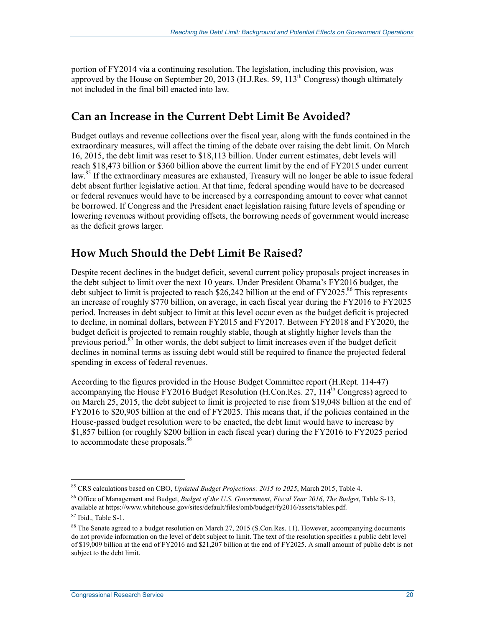portion of FY2014 via a continuing resolution. The legislation, including this provision, was approved by the House on September 20, 2013 (H.J.Res. 59,  $113<sup>th</sup>$  Congress) though ultimately not included in the final bill enacted into law.

## **Can an Increase in the Current Debt Limit Be Avoided?**

Budget outlays and revenue collections over the fiscal year, along with the funds contained in the extraordinary measures, will affect the timing of the debate over raising the debt limit. On March 16, 2015, the debt limit was reset to \$18,113 billion. Under current estimates, debt levels will reach \$18,473 billion or \$360 billion above the current limit by the end of FY2015 under current law.<sup>85</sup> If the extraordinary measures are exhausted, Treasury will no longer be able to issue federal debt absent further legislative action. At that time, federal spending would have to be decreased or federal revenues would have to be increased by a corresponding amount to cover what cannot be borrowed. If Congress and the President enact legislation raising future levels of spending or lowering revenues without providing offsets, the borrowing needs of government would increase as the deficit grows larger.

### **How Much Should the Debt Limit Be Raised?**

Despite recent declines in the budget deficit, several current policy proposals project increases in the debt subject to limit over the next 10 years. Under President Obama's FY2016 budget, the debt subject to limit is projected to reach \$26,242 billion at the end of  $FY2025$ .<sup>86</sup> This represents an increase of roughly \$770 billion, on average, in each fiscal year during the FY2016 to FY2025 period. Increases in debt subject to limit at this level occur even as the budget deficit is projected to decline, in nominal dollars, between FY2015 and FY2017. Between FY2018 and FY2020, the budget deficit is projected to remain roughly stable, though at slightly higher levels than the previous period. $87$  In other words, the debt subject to limit increases even if the budget deficit declines in nominal terms as issuing debt would still be required to finance the projected federal spending in excess of federal revenues.

According to the figures provided in the House Budget Committee report (H.Rept. 114-47) accompanying the House FY2016 Budget Resolution (H.Con.Res.  $27$ ,  $114<sup>th</sup>$  Congress) agreed to on March 25, 2015, the debt subject to limit is projected to rise from \$19,048 billion at the end of FY2016 to \$20,905 billion at the end of FY2025. This means that, if the policies contained in the House-passed budget resolution were to be enacted, the debt limit would have to increase by \$1,857 billion (or roughly \$200 billion in each fiscal year) during the FY2016 to FY2025 period to accommodate these proposals.<sup>88</sup>

<sup>85</sup> CRS calculations based on CBO, *Updated Budget Projections: 2015 to 2025*, March 2015, Table 4.

<sup>86</sup> Office of Management and Budget, *Budget of the U.S. Government*, *Fiscal Year 2016*, *The Budget*, Table S-13, available at https://www.whitehouse.gov/sites/default/files/omb/budget/fy2016/assets/tables.pdf.

<sup>87</sup> Ibid., Table S-1.

 $88$  The Senate agreed to a budget resolution on March 27, 2015 (S.Con.Res. 11). However, accompanying documents do not provide information on the level of debt subject to limit. The text of the resolution specifies a public debt level of \$19,009 billion at the end of FY2016 and \$21,207 billion at the end of FY2025. A small amount of public debt is not subject to the debt limit.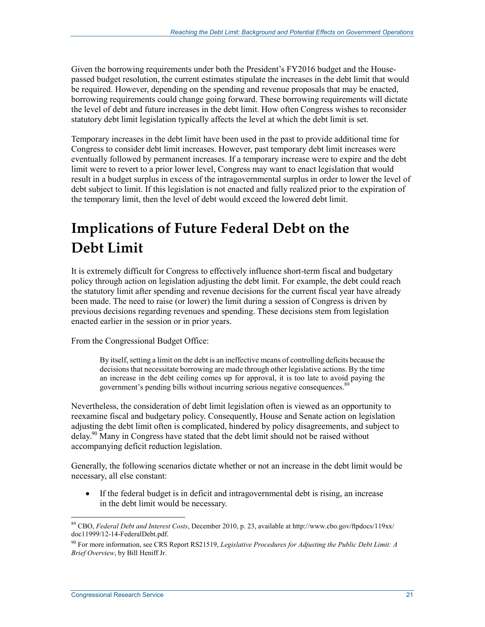Given the borrowing requirements under both the President's FY2016 budget and the Housepassed budget resolution, the current estimates stipulate the increases in the debt limit that would be required. However, depending on the spending and revenue proposals that may be enacted, borrowing requirements could change going forward. These borrowing requirements will dictate the level of debt and future increases in the debt limit. How often Congress wishes to reconsider statutory debt limit legislation typically affects the level at which the debt limit is set.

Temporary increases in the debt limit have been used in the past to provide additional time for Congress to consider debt limit increases. However, past temporary debt limit increases were eventually followed by permanent increases. If a temporary increase were to expire and the debt limit were to revert to a prior lower level, Congress may want to enact legislation that would result in a budget surplus in excess of the intragovernmental surplus in order to lower the level of debt subject to limit. If this legislation is not enacted and fully realized prior to the expiration of the temporary limit, then the level of debt would exceed the lowered debt limit.

## **Implications of Future Federal Debt on the Debt Limit**

It is extremely difficult for Congress to effectively influence short-term fiscal and budgetary policy through action on legislation adjusting the debt limit. For example, the debt could reach the statutory limit after spending and revenue decisions for the current fiscal year have already been made. The need to raise (or lower) the limit during a session of Congress is driven by previous decisions regarding revenues and spending. These decisions stem from legislation enacted earlier in the session or in prior years.

From the Congressional Budget Office:

By itself, setting a limit on the debt is an ineffective means of controlling deficits because the decisions that necessitate borrowing are made through other legislative actions. By the time an increase in the debt ceiling comes up for approval, it is too late to avoid paying the government's pending bills without incurring serious negative consequences.<sup>89</sup>

Nevertheless, the consideration of debt limit legislation often is viewed as an opportunity to reexamine fiscal and budgetary policy. Consequently, House and Senate action on legislation adjusting the debt limit often is complicated, hindered by policy disagreements, and subject to delay.90 Many in Congress have stated that the debt limit should not be raised without accompanying deficit reduction legislation.

Generally, the following scenarios dictate whether or not an increase in the debt limit would be necessary, all else constant:

• If the federal budget is in deficit and intragovernmental debt is rising, an increase in the debt limit would be necessary.

<sup>89</sup> CBO, *Federal Debt and Interest Costs*, December 2010, p. 23, available at http://www.cbo.gov/ftpdocs/119xx/ doc11999/12-14-FederalDebt.pdf.

<sup>90</sup> For more information, see CRS Report RS21519, *Legislative Procedures for Adjusting the Public Debt Limit: A Brief Overview*, by Bill Heniff Jr.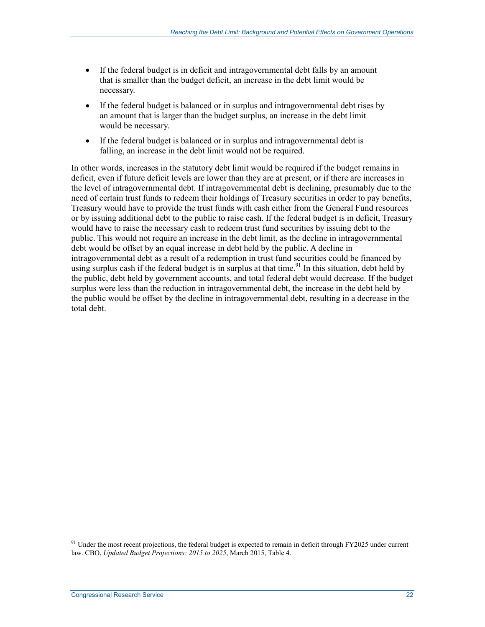- If the federal budget is in deficit and intragovernmental debt falls by an amount that is smaller than the budget deficit, an increase in the debt limit would be necessary.
- If the federal budget is balanced or in surplus and intragovernmental debt rises by an amount that is larger than the budget surplus, an increase in the debt limit would be necessary.
- If the federal budget is balanced or in surplus and intragovernmental debt is falling, an increase in the debt limit would not be required.

In other words, increases in the statutory debt limit would be required if the budget remains in deficit, even if future deficit levels are lower than they are at present, or if there are increases in the level of intragovernmental debt. If intragovernmental debt is declining, presumably due to the need of certain trust funds to redeem their holdings of Treasury securities in order to pay benefits, Treasury would have to provide the trust funds with cash either from the General Fund resources or by issuing additional debt to the public to raise cash. If the federal budget is in deficit, Treasury would have to raise the necessary cash to redeem trust fund securities by issuing debt to the public. This would not require an increase in the debt limit, as the decline in intragovernmental debt would be offset by an equal increase in debt held by the public. A decline in intragovernmental debt as a result of a redemption in trust fund securities could be financed by using surplus cash if the federal budget is in surplus at that time.<sup>91</sup> In this situation, debt held by the public, debt held by government accounts, and total federal debt would decrease. If the budget surplus were less than the reduction in intragovernmental debt, the increase in the debt held by the public would be offset by the decline in intragovernmental debt, resulting in a decrease in the total debt.

 $91$  Under the most recent projections, the federal budget is expected to remain in deficit through FY2025 under current law. CBO, *Updated Budget Projections: 2015 to 2025*, March 2015, Table 4.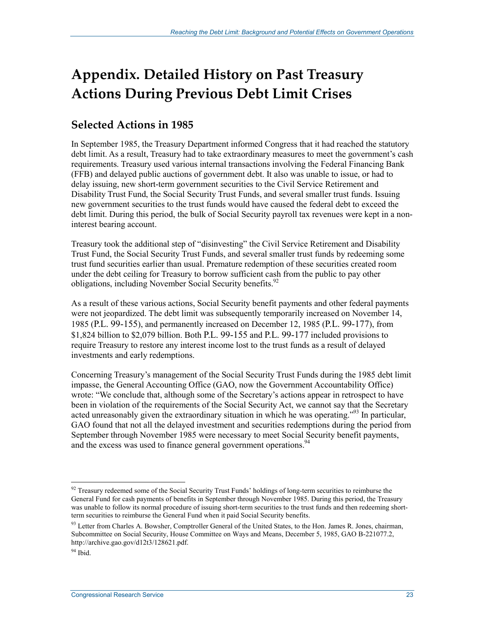## **Appendix. Detailed History on Past Treasury Actions During Previous Debt Limit Crises**

## **Selected Actions in 1985**

In September 1985, the Treasury Department informed Congress that it had reached the statutory debt limit. As a result, Treasury had to take extraordinary measures to meet the government's cash requirements. Treasury used various internal transactions involving the Federal Financing Bank (FFB) and delayed public auctions of government debt. It also was unable to issue, or had to delay issuing, new short-term government securities to the Civil Service Retirement and Disability Trust Fund, the Social Security Trust Funds, and several smaller trust funds. Issuing new government securities to the trust funds would have caused the federal debt to exceed the debt limit. During this period, the bulk of Social Security payroll tax revenues were kept in a noninterest bearing account.

Treasury took the additional step of "disinvesting" the Civil Service Retirement and Disability Trust Fund, the Social Security Trust Funds, and several smaller trust funds by redeeming some trust fund securities earlier than usual. Premature redemption of these securities created room under the debt ceiling for Treasury to borrow sufficient cash from the public to pay other obligations, including November Social Security benefits.<sup>92</sup>

As a result of these various actions, Social Security benefit payments and other federal payments were not jeopardized. The debt limit was subsequently temporarily increased on November 14, 1985 (P.L. 99-155), and permanently increased on December 12, 1985 (P.L. 99-177), from \$1,824 billion to \$2,079 billion. Both P.L. 99-155 and P.L. 99-177 included provisions to require Treasury to restore any interest income lost to the trust funds as a result of delayed investments and early redemptions.

Concerning Treasury's management of the Social Security Trust Funds during the 1985 debt limit impasse, the General Accounting Office (GAO, now the Government Accountability Office) wrote: "We conclude that, although some of the Secretary's actions appear in retrospect to have been in violation of the requirements of the Social Security Act, we cannot say that the Secretary acted unreasonably given the extraordinary situation in which he was operating."<sup>93</sup> In particular, GAO found that not all the delayed investment and securities redemptions during the period from September through November 1985 were necessary to meet Social Security benefit payments, and the excess was used to finance general government operations.<sup>94</sup>

<sup>&</sup>lt;sup>92</sup> Treasury redeemed some of the Social Security Trust Funds' holdings of long-term securities to reimburse the General Fund for cash payments of benefits in September through November 1985. During this period, the Treasury was unable to follow its normal procedure of issuing short-term securities to the trust funds and then redeeming shortterm securities to reimburse the General Fund when it paid Social Security benefits.

<sup>&</sup>lt;sup>93</sup> Letter from Charles A. Bowsher, Comptroller General of the United States, to the Hon. James R. Jones, chairman, Subcommittee on Social Security, House Committee on Ways and Means, December 5, 1985, GAO B-221077.2, http://archive.gao.gov/d12t3/128621.pdf.

 $94$  Ibid.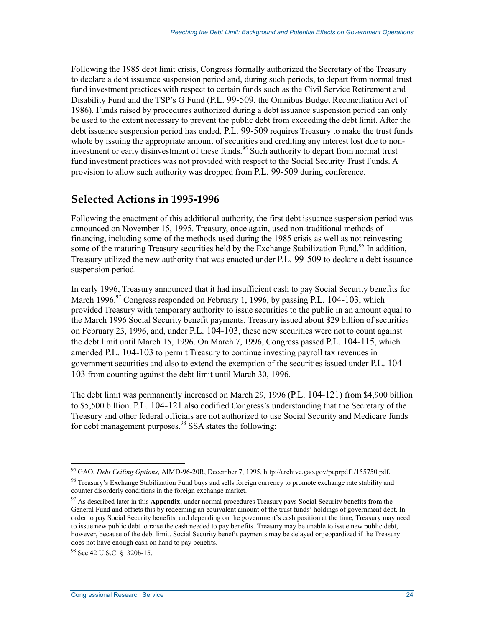Following the 1985 debt limit crisis, Congress formally authorized the Secretary of the Treasury to declare a debt issuance suspension period and, during such periods, to depart from normal trust fund investment practices with respect to certain funds such as the Civil Service Retirement and Disability Fund and the TSP's G Fund (P.L. 99-509, the Omnibus Budget Reconciliation Act of 1986). Funds raised by procedures authorized during a debt issuance suspension period can only be used to the extent necessary to prevent the public debt from exceeding the debt limit. After the debt issuance suspension period has ended, P.L. 99-509 requires Treasury to make the trust funds whole by issuing the appropriate amount of securities and crediting any interest lost due to noninvestment or early disinvestment of these funds.<sup>95</sup> Such authority to depart from normal trust fund investment practices was not provided with respect to the Social Security Trust Funds. A provision to allow such authority was dropped from P.L. 99-509 during conference.

### **Selected Actions in 1995-1996**

Following the enactment of this additional authority, the first debt issuance suspension period was announced on November 15, 1995. Treasury, once again, used non-traditional methods of financing, including some of the methods used during the 1985 crisis as well as not reinvesting some of the maturing Treasury securities held by the Exchange Stabilization Fund.<sup>96</sup> In addition, Treasury utilized the new authority that was enacted under P.L. 99-509 to declare a debt issuance suspension period.

In early 1996, Treasury announced that it had insufficient cash to pay Social Security benefits for March  $1996.<sup>97</sup>$  Congress responded on February 1, 1996, by passing P.L. 104-103, which provided Treasury with temporary authority to issue securities to the public in an amount equal to the March 1996 Social Security benefit payments. Treasury issued about \$29 billion of securities on February 23, 1996, and, under P.L. 104-103, these new securities were not to count against the debt limit until March 15, 1996. On March 7, 1996, Congress passed P.L. 104-115, which amended P.L. 104-103 to permit Treasury to continue investing payroll tax revenues in government securities and also to extend the exemption of the securities issued under P.L. 104- 103 from counting against the debt limit until March 30, 1996.

The debt limit was permanently increased on March 29, 1996 (P.L. 104-121) from \$4,900 billion to \$5,500 billion. P.L. 104-121 also codified Congress's understanding that the Secretary of the Treasury and other federal officials are not authorized to use Social Security and Medicare funds for debt management purposes.<sup>98</sup> SSA states the following:

<sup>95</sup> GAO, *Debt Ceiling Options*, AIMD-96-20R, December 7, 1995, http://archive.gao.gov/paprpdf1/155750.pdf.

<sup>&</sup>lt;sup>96</sup> Treasury's Exchange Stabilization Fund buys and sells foreign currency to promote exchange rate stability and counter disorderly conditions in the foreign exchange market.

<sup>&</sup>lt;sup>97</sup> As described later in this **Appendix**, under normal procedures Treasury pays Social Security benefits from the General Fund and offsets this by redeeming an equivalent amount of the trust funds' holdings of government debt. In order to pay Social Security benefits, and depending on the government's cash position at the time, Treasury may need to issue new public debt to raise the cash needed to pay benefits. Treasury may be unable to issue new public debt, however, because of the debt limit. Social Security benefit payments may be delayed or jeopardized if the Treasury does not have enough cash on hand to pay benefits.

<sup>98</sup> See 42 U.S.C. §1320b-15.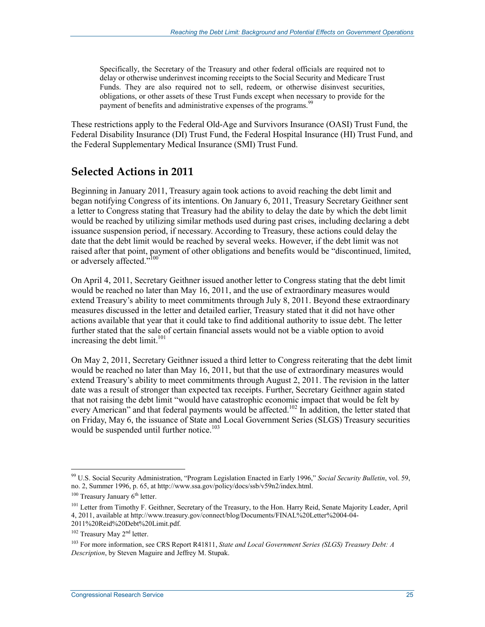Specifically, the Secretary of the Treasury and other federal officials are required not to delay or otherwise underinvest incoming receipts to the Social Security and Medicare Trust Funds. They are also required not to sell, redeem, or otherwise disinvest securities, obligations, or other assets of these Trust Funds except when necessary to provide for the payment of benefits and administrative expenses of the programs.<sup>99</sup>

These restrictions apply to the Federal Old-Age and Survivors Insurance (OASI) Trust Fund, the Federal Disability Insurance (DI) Trust Fund, the Federal Hospital Insurance (HI) Trust Fund, and the Federal Supplementary Medical Insurance (SMI) Trust Fund.

### **Selected Actions in 2011**

Beginning in January 2011, Treasury again took actions to avoid reaching the debt limit and began notifying Congress of its intentions. On January 6, 2011, Treasury Secretary Geithner sent a letter to Congress stating that Treasury had the ability to delay the date by which the debt limit would be reached by utilizing similar methods used during past crises, including declaring a debt issuance suspension period, if necessary. According to Treasury, these actions could delay the date that the debt limit would be reached by several weeks. However, if the debt limit was not raised after that point, payment of other obligations and benefits would be "discontinued, limited, or adversely affected."<sup>100</sup>

On April 4, 2011, Secretary Geithner issued another letter to Congress stating that the debt limit would be reached no later than May 16, 2011, and the use of extraordinary measures would extend Treasury's ability to meet commitments through July 8, 2011. Beyond these extraordinary measures discussed in the letter and detailed earlier, Treasury stated that it did not have other actions available that year that it could take to find additional authority to issue debt. The letter further stated that the sale of certain financial assets would not be a viable option to avoid increasing the debt limit. $101$ 

On May 2, 2011, Secretary Geithner issued a third letter to Congress reiterating that the debt limit would be reached no later than May 16, 2011, but that the use of extraordinary measures would extend Treasury's ability to meet commitments through August 2, 2011. The revision in the latter date was a result of stronger than expected tax receipts. Further, Secretary Geithner again stated that not raising the debt limit "would have catastrophic economic impact that would be felt by every American" and that federal payments would be affected.<sup>102</sup> In addition, the letter stated that on Friday, May 6, the issuance of State and Local Government Series (SLGS) Treasury securities would be suspended until further notice. $103$ 

<sup>99</sup> U.S. Social Security Administration, "Program Legislation Enacted in Early 1996," *Social Security Bulletin*, vol. 59, no. 2, Summer 1996, p. 65, at http://www.ssa.gov/policy/docs/ssb/v59n2/index.html.

 $100$  Treasury January  $6<sup>th</sup>$  letter.

<sup>&</sup>lt;sup>101</sup> Letter from Timothy F. Geithner, Secretary of the Treasury, to the Hon. Harry Reid, Senate Majority Leader, April 4, 2011, available at http://www.treasury.gov/connect/blog/Documents/FINAL%20Letter%2004-04- 2011%20Reid%20Debt%20Limit.pdf.

<sup>&</sup>lt;sup>102</sup> Treasury May 2<sup>nd</sup> letter.

<sup>103</sup> For more information, see CRS Report R41811, *State and Local Government Series (SLGS) Treasury Debt: A Description*, by Steven Maguire and Jeffrey M. Stupak.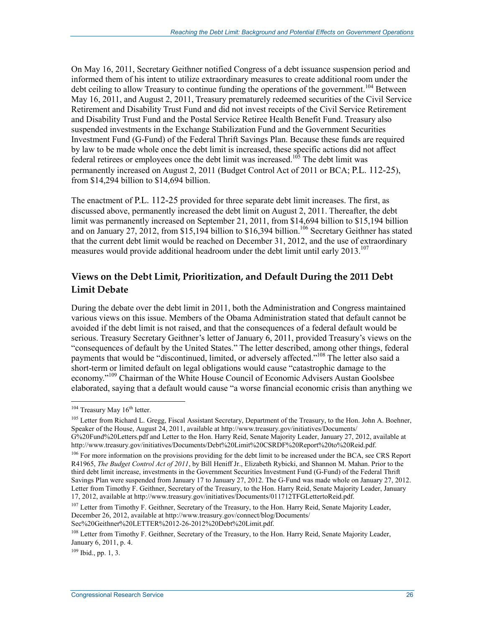On May 16, 2011, Secretary Geithner notified Congress of a debt issuance suspension period and informed them of his intent to utilize extraordinary measures to create additional room under the debt ceiling to allow Treasury to continue funding the operations of the government.<sup>104</sup> Between May 16, 2011, and August 2, 2011, Treasury prematurely redeemed securities of the Civil Service Retirement and Disability Trust Fund and did not invest receipts of the Civil Service Retirement and Disability Trust Fund and the Postal Service Retiree Health Benefit Fund. Treasury also suspended investments in the Exchange Stabilization Fund and the Government Securities Investment Fund (G-Fund) of the Federal Thrift Savings Plan. Because these funds are required by law to be made whole once the debt limit is increased, these specific actions did not affect federal retirees or employees once the debt limit was increased.<sup>105</sup> The debt limit was permanently increased on August 2, 2011 (Budget Control Act of 2011 or BCA; P.L. 112-25), from \$14,294 billion to \$14,694 billion.

The enactment of P.L. 112-25 provided for three separate debt limit increases. The first, as discussed above, permanently increased the debt limit on August 2, 2011. Thereafter, the debt limit was permanently increased on September 21, 2011, from \$14,694 billion to \$15,194 billion and on January 27, 2012, from \$15,194 billion to \$16,394 billion.<sup>106</sup> Secretary Geithner has stated that the current debt limit would be reached on December 31, 2012, and the use of extraordinary measures would provide additional headroom under the debt limit until early 2013.<sup>107</sup>

#### **Views on the Debt Limit, Prioritization, and Default During the 2011 Debt Limit Debate**

During the debate over the debt limit in 2011, both the Administration and Congress maintained various views on this issue. Members of the Obama Administration stated that default cannot be avoided if the debt limit is not raised, and that the consequences of a federal default would be serious. Treasury Secretary Geithner's letter of January 6, 2011, provided Treasury's views on the "consequences of default by the United States." The letter described, among other things, federal payments that would be "discontinued, limited, or adversely affected."<sup>108</sup> The letter also said a short-term or limited default on legal obligations would cause "catastrophic damage to the economy."109 Chairman of the White House Council of Economic Advisers Austan Goolsbee elaborated, saying that a default would cause "a worse financial economic crisis than anything we

1

 $109$  Ibid., pp. 1, 3.

 $104$  Treasury May  $16<sup>th</sup>$  letter.

<sup>&</sup>lt;sup>105</sup> Letter from Richard L. Gregg, Fiscal Assistant Secretary, Department of the Treasury, to the Hon. John A. Boehner, Speaker of the House, August 24, 2011, available at http://www.treasury.gov/initiatives/Documents/ G%20Fund%20Letters.pdf and Letter to the Hon. Harry Reid, Senate Majority Leader, January 27, 2012, available at http://www.treasury.gov/initiatives/Documents/Debt%20Limit%20CSRDF%20Report%20to%20Reid.pdf.

<sup>&</sup>lt;sup>106</sup> For more information on the provisions providing for the debt limit to be increased under the BCA, see CRS Report R41965, *The Budget Control Act of 2011*, by Bill Heniff Jr., Elizabeth Rybicki, and Shannon M. Mahan. Prior to the third debt limit increase, investments in the Government Securities Investment Fund (G-Fund) of the Federal Thrift Savings Plan were suspended from January 17 to January 27, 2012. The G-Fund was made whole on January 27, 2012. Letter from Timothy F. Geithner, Secretary of the Treasury, to the Hon. Harry Reid, Senate Majority Leader, January 17, 2012, available at http://www.treasury.gov/initiatives/Documents/011712TFGLettertoReid.pdf.

<sup>&</sup>lt;sup>107</sup> Letter from Timothy F. Geithner, Secretary of the Treasury, to the Hon. Harry Reid, Senate Majority Leader, December 26, 2012, available at http://www.treasury.gov/connect/blog/Documents/ Sec%20Geithner%20LETTER%2012-26-2012%20Debt%20Limit.pdf.

<sup>&</sup>lt;sup>108</sup> Letter from Timothy F. Geithner, Secretary of the Treasury, to the Hon. Harry Reid, Senate Majority Leader, January 6, 2011, p. 4.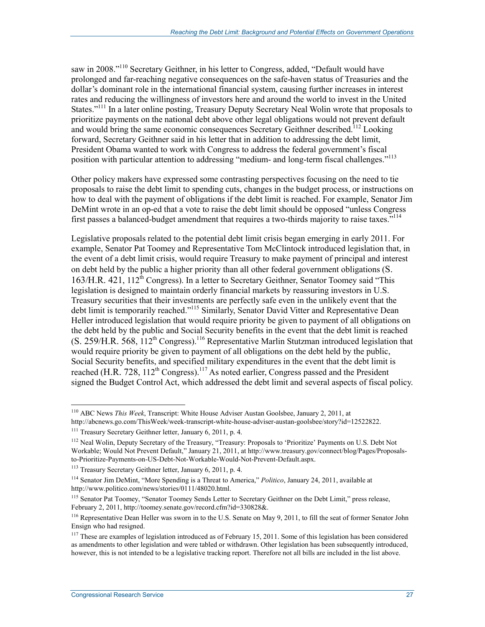saw in 2008."<sup>110</sup> Secretary Geithner, in his letter to Congress, added, "Default would have prolonged and far-reaching negative consequences on the safe-haven status of Treasuries and the dollar's dominant role in the international financial system, causing further increases in interest rates and reducing the willingness of investors here and around the world to invest in the United States."<sup>111</sup> In a later online posting, Treasury Deputy Secretary Neal Wolin wrote that proposals to prioritize payments on the national debt above other legal obligations would not prevent default and would bring the same economic consequences Secretary Geithner described.<sup>112</sup> Looking forward, Secretary Geithner said in his letter that in addition to addressing the debt limit, President Obama wanted to work with Congress to address the federal government's fiscal position with particular attention to addressing "medium- and long-term fiscal challenges."<sup>113</sup>

Other policy makers have expressed some contrasting perspectives focusing on the need to tie proposals to raise the debt limit to spending cuts, changes in the budget process, or instructions on how to deal with the payment of obligations if the debt limit is reached. For example, Senator Jim DeMint wrote in an op-ed that a vote to raise the debt limit should be opposed "unless Congress first passes a balanced-budget amendment that requires a two-thirds majority to raise taxes.<sup>"114</sup>

Legislative proposals related to the potential debt limit crisis began emerging in early 2011. For example, Senator Pat Toomey and Representative Tom McClintock introduced legislation that, in the event of a debt limit crisis, would require Treasury to make payment of principal and interest on debt held by the public a higher priority than all other federal government obligations (S. 163/H.R. 421, 112<sup>th</sup> Congress). In a letter to Secretary Geithner, Senator Toomey said "This legislation is designed to maintain orderly financial markets by reassuring investors in U.S. Treasury securities that their investments are perfectly safe even in the unlikely event that the debt limit is temporarily reached."<sup>115</sup> Similarly, Senator David Vitter and Representative Dean Heller introduced legislation that would require priority be given to payment of all obligations on the debt held by the public and Social Security benefits in the event that the debt limit is reached (S. 259/H.R. 568, 112th Congress).116 Representative Marlin Stutzman introduced legislation that would require priority be given to payment of all obligations on the debt held by the public, Social Security benefits, and specified military expenditures in the event that the debt limit is reached (H.R. 728, 112<sup>th</sup> Congress).<sup>117</sup> As noted earlier, Congress passed and the President signed the Budget Control Act, which addressed the debt limit and several aspects of fiscal policy.

<u>.</u>

<sup>110</sup> ABC News *This Week*, Transcript: White House Adviser Austan Goolsbee, January 2, 2011, at http://abcnews.go.com/ThisWeek/week-transcript-white-house-adviser-austan-goolsbee/story?id=12522822.

<sup>111</sup> Treasury Secretary Geithner letter, January 6, 2011, p. 4.

<sup>112</sup> Neal Wolin, Deputy Secretary of the Treasury, "Treasury: Proposals to 'Prioritize' Payments on U.S. Debt Not Workable; Would Not Prevent Default," January 21, 2011, at http://www.treasury.gov/connect/blog/Pages/Proposalsto-Prioritize-Payments-on-US-Debt-Not-Workable-Would-Not-Prevent-Default.aspx.

<sup>113</sup> Treasury Secretary Geithner letter, January 6, 2011, p. 4.

<sup>114</sup> Senator Jim DeMint, "More Spending is a Threat to America," *Politico*, January 24, 2011, available at http://www.politico.com/news/stories/0111/48020.html.

<sup>&</sup>lt;sup>115</sup> Senator Pat Toomey, "Senator Toomey Sends Letter to Secretary Geithner on the Debt Limit," press release, February 2, 2011, http://toomey.senate.gov/record.cfm?id=330828&.

<sup>&</sup>lt;sup>116</sup> Representative Dean Heller was sworn in to the U.S. Senate on May 9, 2011, to fill the seat of former Senator John Ensign who had resigned.

<sup>&</sup>lt;sup>117</sup> These are examples of legislation introduced as of February 15, 2011. Some of this legislation has been considered as amendments to other legislation and were tabled or withdrawn. Other legislation has been subsequently introduced, however, this is not intended to be a legislative tracking report. Therefore not all bills are included in the list above.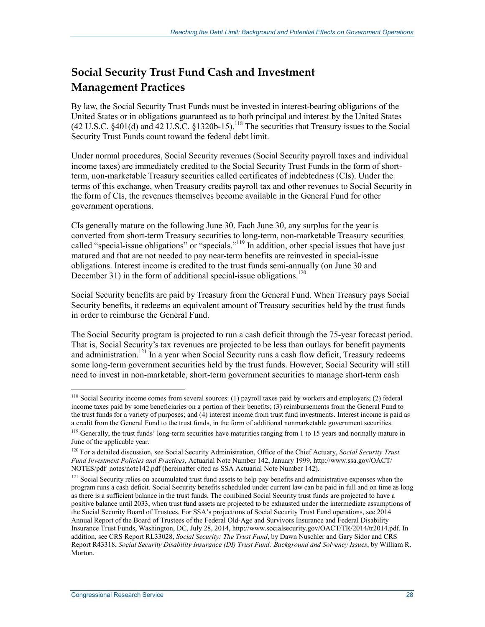## **Social Security Trust Fund Cash and Investment Management Practices**

By law, the Social Security Trust Funds must be invested in interest-bearing obligations of the United States or in obligations guaranteed as to both principal and interest by the United States (42 U.S.C. §401(d) and 42 U.S.C. §1320b-15).<sup>118</sup> The securities that Treasury issues to the Social Security Trust Funds count toward the federal debt limit.

Under normal procedures, Social Security revenues (Social Security payroll taxes and individual income taxes) are immediately credited to the Social Security Trust Funds in the form of shortterm, non-marketable Treasury securities called certificates of indebtedness (CIs). Under the terms of this exchange, when Treasury credits payroll tax and other revenues to Social Security in the form of CIs, the revenues themselves become available in the General Fund for other government operations.

CIs generally mature on the following June 30. Each June 30, any surplus for the year is converted from short-term Treasury securities to long-term, non-marketable Treasury securities called "special-issue obligations" or "specials."<sup>119</sup> In addition, other special issues that have just matured and that are not needed to pay near-term benefits are reinvested in special-issue obligations. Interest income is credited to the trust funds semi-annually (on June 30 and December 31) in the form of additional special-issue obligations.<sup>120</sup>

Social Security benefits are paid by Treasury from the General Fund. When Treasury pays Social Security benefits, it redeems an equivalent amount of Treasury securities held by the trust funds in order to reimburse the General Fund.

The Social Security program is projected to run a cash deficit through the 75-year forecast period. That is, Social Security's tax revenues are projected to be less than outlays for benefit payments and administration.<sup>121</sup> In a year when Social Security runs a cash flow deficit, Treasury redeems some long-term government securities held by the trust funds. However, Social Security will still need to invest in non-marketable, short-term government securities to manage short-term cash

<sup>&</sup>lt;u>.</u> <sup>118</sup> Social Security income comes from several sources: (1) payroll taxes paid by workers and employers; (2) federal income taxes paid by some beneficiaries on a portion of their benefits; (3) reimbursements from the General Fund to the trust funds for a variety of purposes; and (4) interest income from trust fund investments. Interest income is paid as a credit from the General Fund to the trust funds, in the form of additional nonmarketable government securities.

 $119$  Generally, the trust funds' long-term securities have maturities ranging from 1 to 15 years and normally mature in June of the applicable year.

<sup>120</sup> For a detailed discussion, see Social Security Administration, Office of the Chief Actuary, *Social Security Trust Fund Investment Policies and Practices*, Actuarial Note Number 142, January 1999, http://www.ssa.gov/OACT/ NOTES/pdf\_notes/note142.pdf (hereinafter cited as SSA Actuarial Note Number 142).

<sup>&</sup>lt;sup>121</sup> Social Security relies on accumulated trust fund assets to help pay benefits and administrative expenses when the program runs a cash deficit. Social Security benefits scheduled under current law can be paid in full and on time as long as there is a sufficient balance in the trust funds. The combined Social Security trust funds are projected to have a positive balance until 2033, when trust fund assets are projected to be exhausted under the intermediate assumptions of the Social Security Board of Trustees. For SSA's projections of Social Security Trust Fund operations, see 2014 Annual Report of the Board of Trustees of the Federal Old-Age and Survivors Insurance and Federal Disability Insurance Trust Funds, Washington, DC, July 28, 2014, http://www.socialsecurity.gov/OACT/TR/2014/tr2014.pdf. In addition, see CRS Report RL33028, *Social Security: The Trust Fund*, by Dawn Nuschler and Gary Sidor and CRS Report R43318, *Social Security Disability Insurance (DI) Trust Fund: Background and Solvency Issues*, by William R. Morton.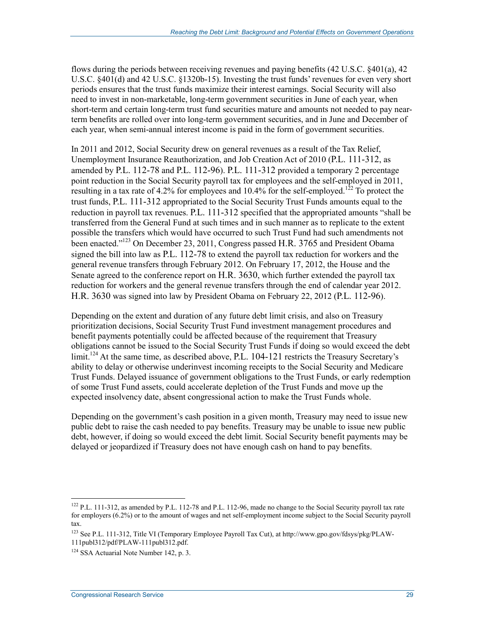flows during the periods between receiving revenues and paying benefits (42 U.S.C. §401(a), 42 U.S.C. §401(d) and 42 U.S.C. §1320b-15). Investing the trust funds' revenues for even very short periods ensures that the trust funds maximize their interest earnings. Social Security will also need to invest in non-marketable, long-term government securities in June of each year, when short-term and certain long-term trust fund securities mature and amounts not needed to pay nearterm benefits are rolled over into long-term government securities, and in June and December of each year, when semi-annual interest income is paid in the form of government securities.

In 2011 and 2012, Social Security drew on general revenues as a result of the Tax Relief, Unemployment Insurance Reauthorization, and Job Creation Act of 2010 (P.L. 111-312, as amended by P.L. 112-78 and P.L. 112-96). P.L. 111-312 provided a temporary 2 percentage point reduction in the Social Security payroll tax for employees and the self-employed in 2011, resulting in a tax rate of 4.2% for employees and  $10.4\%$  for the self-employed.<sup>122</sup> To protect the trust funds, P.L. 111-312 appropriated to the Social Security Trust Funds amounts equal to the reduction in payroll tax revenues. P.L. 111-312 specified that the appropriated amounts "shall be transferred from the General Fund at such times and in such manner as to replicate to the extent possible the transfers which would have occurred to such Trust Fund had such amendments not been enacted."<sup>123</sup> On December 23, 2011, Congress passed H.R. 3765 and President Obama signed the bill into law as P.L. 112-78 to extend the payroll tax reduction for workers and the general revenue transfers through February 2012. On February 17, 2012, the House and the Senate agreed to the conference report on H.R. 3630, which further extended the payroll tax reduction for workers and the general revenue transfers through the end of calendar year 2012. H.R. 3630 was signed into law by President Obama on February 22, 2012 (P.L. 112-96).

Depending on the extent and duration of any future debt limit crisis, and also on Treasury prioritization decisions, Social Security Trust Fund investment management procedures and benefit payments potentially could be affected because of the requirement that Treasury obligations cannot be issued to the Social Security Trust Funds if doing so would exceed the debt limit.<sup>124</sup> At the same time, as described above, P.L. 104-121 restricts the Treasury Secretary's ability to delay or otherwise underinvest incoming receipts to the Social Security and Medicare Trust Funds. Delayed issuance of government obligations to the Trust Funds, or early redemption of some Trust Fund assets, could accelerate depletion of the Trust Funds and move up the expected insolvency date, absent congressional action to make the Trust Funds whole.

Depending on the government's cash position in a given month, Treasury may need to issue new public debt to raise the cash needed to pay benefits. Treasury may be unable to issue new public debt, however, if doing so would exceed the debt limit. Social Security benefit payments may be delayed or jeopardized if Treasury does not have enough cash on hand to pay benefits.

 $122$  P.L. 111-312, as amended by P.L. 112-78 and P.L. 112-96, made no change to the Social Security payroll tax rate for employers (6.2%) or to the amount of wages and net self-employment income subject to the Social Security payroll tax.

<sup>123</sup> See P.L. 111-312, Title VI (Temporary Employee Payroll Tax Cut), at http://www.gpo.gov/fdsys/pkg/PLAW-111publ312/pdf/PLAW-111publ312.pdf.

<sup>&</sup>lt;sup>124</sup> SSA Actuarial Note Number 142, p. 3.